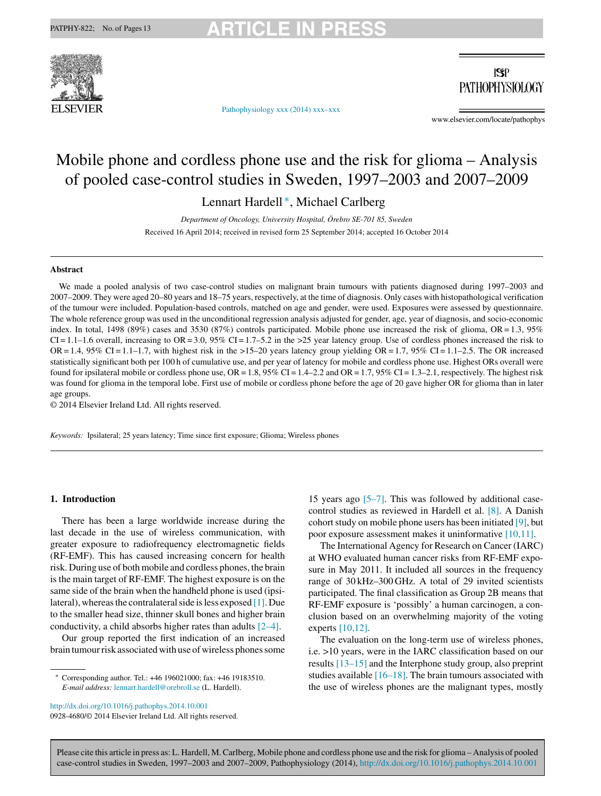

[Pathophysiology](dx.doi.org/10.1016/j.pathophys.2014.10.001) xxx (2014) xxx–xxx

 $|S|$ **PATHOPHYSIOLOGY** 

www.elsevier.com/locate/pathophys

# Mobile phone and cordless phone use and the risk for glioma – Analysis of pooled case-control studies in Sweden, 1997–2003 and 2007–2009

Lennart Hardell ∗, Michael Carlberg

*Department of Oncology, University Hospital, Örebro SE-701 85, Sweden* Received 16 April 2014; received in revised form 25 September 2014; accepted 16 October 2014

### **Abstract**

We made a pooled analysis of two case-control studies on malignant brain tumours with patients diagnosed during 1997–2003 and 2007–2009. They were aged 20–80 years and 18–75 years, respectively, at the time of diagnosis. Only cases with histopathological verification of the tumour were included. Population-based controls, matched on age and gender, were used. Exposures were assessed by questionnaire. The whole reference group was used in the unconditional regression analysis adjusted for gender, age, year of diagnosis, and socio-economic index. In total, 1498 (89%) cases and 3530 (87%) controls participated. Mobile phone use increased the risk of glioma, OR= 1.3, 95%  $CI = 1.1-1.6$  overall, increasing to  $OR = 3.0$ , 95%  $CI = 1.7-5.2$  in the  $>25$  year latency group. Use of cordless phones increased the risk to OR = 1.4, 95% CI = 1.1–1.7, with highest risk in the >15–20 years latency group yielding OR = 1.7, 95% CI = 1.1–2.5. The OR increased statistically significant both per 100 h of cumulative use, and per year of latency for mobile and cordless phone use. Highest ORs overall were found for ipsilateral mobile or cordless phone use,  $OR = 1.8$ ,  $95\% CI = 1.4 - 2.2$  and  $OR = 1.7$ ,  $95\% CI = 1.3 - 2.1$ , respectively. The highest risk was found for glioma in the temporal lobe. First use of mobile or cordless phone before the age of 20 gave higher OR for glioma than in later age groups.

© 2014 Elsevier Ireland Ltd. All rights reserved.

*Keywords:* Ipsilateral; 25 years latency; Time since first exposure; Glioma; Wireless phones

# **1. Introduction**

There has been a large worldwide increase during the last decade in the use of wireless communication, with greater exposure to radiofrequency electromagnetic fields (RF-EMF). This has caused increasing concern for health risk. During use of both mobile and cordless phones, the brain is the main target of RF-EMF. The highest exposure is on the same side of the brain when the handheld phone is used (ipsi-lateral), whereas the contralateral side is less exposed [\[1\].](#page-11-0) Due to the smaller head size, thinner skull bones and higher brain conductivity, a child absorbs higher rates than adults [\[2–4\].](#page-11-0)

Our group reported the first indication of an increased brain tumour risk associated with use of wireless phones some

[http://dx.doi.org/10.1016/j.pathophys.2014.10.001](dx.doi.org/10.1016/j.pathophys.2014.10.001) 0928-4680/© 2014 Elsevier Ireland Ltd. All rights reserved. 15 years ago [\[5–7\].](#page-11-0) This was followed by additional casecontrol studies as reviewed in Hardell et al. [\[8\].](#page-11-0) A Danish cohort study on mobile phone users has been initiated  $[9]$ , but poor exposure assessment makes it uninformative [\[10,11\].](#page-11-0)

The International Agency for Research on Cancer (IARC) at WHO evaluated human cancer risks from RF-EMF exposure in May 2011. It included all sources in the frequency range of 30 kHz–300 GHz. A total of 29 invited scientists participated. The final classification as Group 2B means that RF-EMF exposure is 'possibly' a human carcinogen, a conclusion based on an overwhelming majority of the voting experts [\[10,12\].](#page-11-0)

The evaluation on the long-term use of wireless phones, i.e. >10 years, were in the IARC classification based on our results [\[13–15\]](#page-11-0) and the Interphone study group, also preprint studies available  $[16–18]$ . The brain tumours associated with the use of wireless phones are the malignant types, mostly

<sup>∗</sup> Corresponding author. Tel.: +46 196021000; fax: +46 19183510. *E-mail address:* [lennart.hardell@orebroll.se](mailto:lennart.hardell@orebroll.se) (L. Hardell).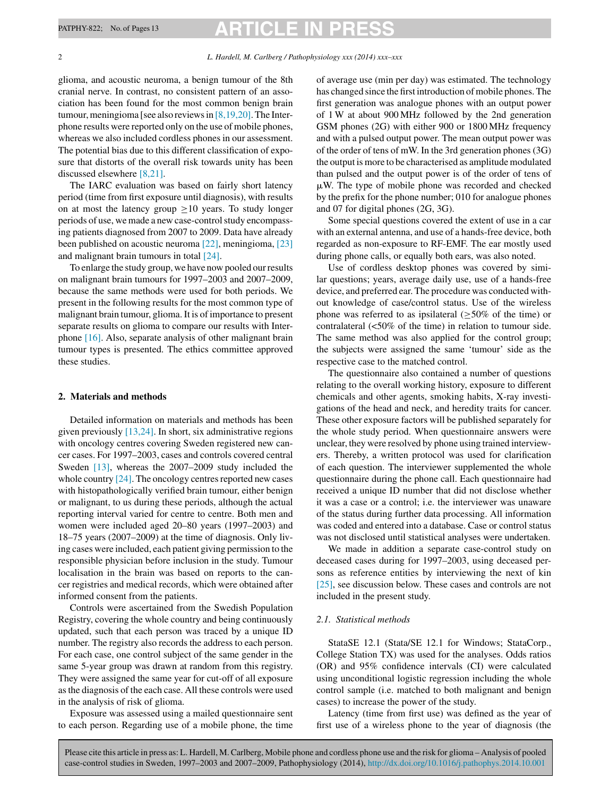glioma, and acoustic neuroma, a benign tumour of the 8th cranial nerve. In contrast, no consistent pattern of an association has been found for the most common benign brain tumour, meningioma [see also reviews in  $[8,19,20]$ . The Interphone results were reported only on the use of mobile phones, whereas we also included cordless phones in our assessment. The potential bias due to this different classification of exposure that distorts of the overall risk towards unity has been discussed elsewhere [\[8,21\].](#page-11-0)

The IARC evaluation was based on fairly short latency period (time from first exposure until diagnosis), with results on at most the latency group  $\geq 10$  years. To study longer periods of use, we made a new case-control study encompassing patients diagnosed from 2007 to 2009. Data have already been published on acoustic neuroma [\[22\],](#page-12-0) meningioma, [\[23\]](#page-12-0) and malignant brain tumours in total [\[24\].](#page-12-0)

To enlarge the study group, we have now pooled ourresults on malignant brain tumours for 1997–2003 and 2007–2009, because the same methods were used for both periods. We present in the following results for the most common type of malignant brain tumour, glioma. It is of importance to present separate results on glioma to compare our results with Interphone [\[16\].](#page-12-0) Also, separate analysis of other malignant brain tumour types is presented. The ethics committee approved these studies.

# **2. Materials and methods**

Detailed information on materials and methods has been given previously [\[13,24\].](#page-11-0) In short, six administrative regions with oncology centres covering Sweden registered new cancer cases. For 1997–2003, cases and controls covered central Sweden [\[13\],](#page-11-0) whereas the 2007–2009 study included the whole country  $[24]$ . The oncology centres reported new cases with histopathologically verified brain tumour, either benign or malignant, to us during these periods, although the actual reporting interval varied for centre to centre. Both men and women were included aged 20–80 years (1997–2003) and 18–75 years (2007–2009) at the time of diagnosis. Only living cases were included, each patient giving permission to the responsible physician before inclusion in the study. Tumour localisation in the brain was based on reports to the cancer registries and medical records, which were obtained after informed consent from the patients.

Controls were ascertained from the Swedish Population Registry, covering the whole country and being continuously updated, such that each person was traced by a unique ID number. The registry also records the address to each person. For each case, one control subject of the same gender in the same 5-year group was drawn at random from this registry. They were assigned the same year for cut-off of all exposure asthe diagnosis of the each case. All these controls were used in the analysis of risk of glioma.

Exposure was assessed using a mailed questionnaire sent to each person. Regarding use of a mobile phone, the time

of average use (min per day) was estimated. The technology has changed since the first introduction of mobile phones. The first generation was analogue phones with an output power of 1 W at about 900 MHz followed by the 2nd generation GSM phones (2G) with either 900 or 1800 MHz frequency and with a pulsed output power. The mean output power was of the order of tens of mW. In the 3rd generation phones (3G) the output is more to be characterised as amplitude modulated than pulsed and the output power is of the order of tens of -W. The type of mobile phone was recorded and checked by the prefix for the phone number; 010 for analogue phones and 07 for digital phones (2G, 3G).

Some special questions covered the extent of use in a car with an external antenna, and use of a hands-free device, both regarded as non-exposure to RF-EMF. The ear mostly used during phone calls, or equally both ears, was also noted.

Use of cordless desktop phones was covered by similar questions; years, average daily use, use of a hands-free device, and preferred ear. The procedure was conducted without knowledge of case/control status. Use of the wireless phone was referred to as ipsilateral  $($ >50% of the time) or contralateral (<50% of the time) in relation to tumour side. The same method was also applied for the control group; the subjects were assigned the same 'tumour' side as the respective case to the matched control.

The questionnaire also contained a number of questions relating to the overall working history, exposure to different chemicals and other agents, smoking habits, X-ray investigations of the head and neck, and heredity traits for cancer. These other exposure factors will be published separately for the whole study period. When questionnaire answers were unclear, they were resolved by phone using trained interviewers. Thereby, a written protocol was used for clarification of each question. The interviewer supplemented the whole questionnaire during the phone call. Each questionnaire had received a unique ID number that did not disclose whether it was a case or a control; i.e. the interviewer was unaware of the status during further data processing. All information was coded and entered into a database. Case or control status was not disclosed until statistical analyses were undertaken.

We made in addition a separate case-control study on deceased cases during for 1997–2003, using deceased persons as reference entities by interviewing the next of kin [\[25\],](#page-12-0) see discussion below. These cases and controls are not included in the present study.

#### *2.1. Statistical methods*

StataSE 12.1 (Stata/SE 12.1 for Windows; StataCorp., College Station TX) was used for the analyses. Odds ratios (OR) and 95% confidence intervals (CI) were calculated using unconditional logistic regression including the whole control sample (i.e. matched to both malignant and benign cases) to increase the power of the study.

Latency (time from first use) was defined as the year of first use of a wireless phone to the year of diagnosis (the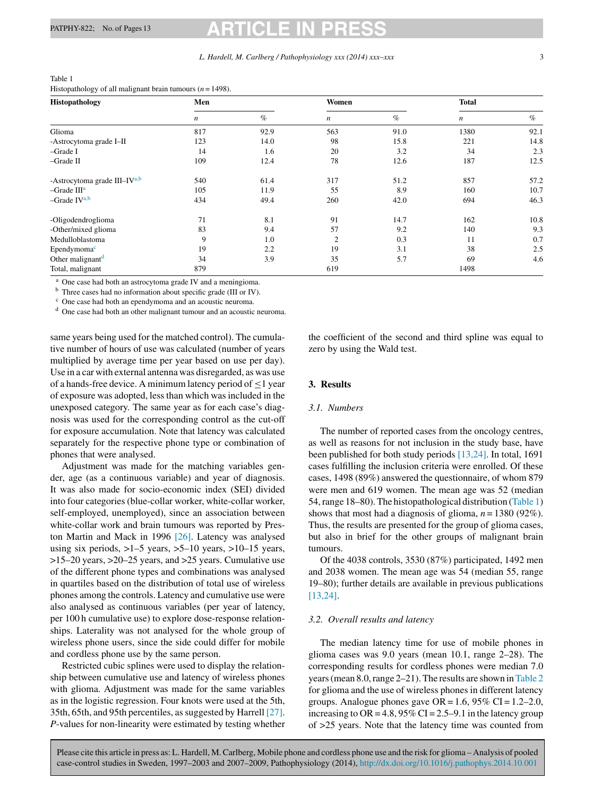| Histopathology               | Men |      | Women            |      | <b>Total</b>     |      |
|------------------------------|-----|------|------------------|------|------------------|------|
|                              | n   | $\%$ | $\boldsymbol{n}$ | $\%$ | $\boldsymbol{n}$ | $\%$ |
| Glioma                       | 817 | 92.9 | 563              | 91.0 | 1380             | 92.1 |
| -Astrocytoma grade I-II      | 123 | 14.0 | 98               | 15.8 | 221              | 14.8 |
| -Grade I                     | 14  | 1.6  | 20               | 3.2  | 34               | 2.3  |
| -Grade II                    | 109 | 12.4 | 78               | 12.6 | 187              | 12.5 |
| -Astrocytoma grade III-IVa,b | 540 | 61.4 | 317              | 51.2 | 857              | 57.2 |
| $-Grade IIIa$                | 105 | 11.9 | 55               | 8.9  | 160              | 10.7 |
| $-Grade IVa,b$               | 434 | 49.4 | 260              | 42.0 | 694              | 46.3 |
| -Oligodendroglioma           | 71  | 8.1  | 91               | 14.7 | 162              | 10.8 |
| -Other/mixed glioma          | 83  | 9.4  | 57               | 9.2  | 140              | 9.3  |
| Medulloblastoma              | 9   | 1.0  | 2                | 0.3  | 11               | 0.7  |
| Ependymoma <sup>c</sup>      | 19  | 2.2  | 19               | 3.1  | 38               | 2.5  |
| Other malignant <sup>d</sup> | 34  | 3.9  | 35               | 5.7  | 69               | 4.6  |
| Total, malignant             | 879 |      | 619              |      | 1498             |      |

<span id="page-2-0"></span>Table 1 Histopathology of all malignant brain tumours (*n* = 1498).

One case had both an astrocytoma grade IV and a meningioma.

<sup>b</sup> Three cases had no information about specific grade (III or IV).

<sup>c</sup> One case had both an ependymoma and an acoustic neuroma.

<sup>d</sup> One case had both an other malignant tumour and an acoustic neuroma.

same years being used for the matched control). The cumulative number of hours of use was calculated (number of years multiplied by average time per year based on use per day). Use in a car with external antenna was disregarded, as was use of a hands-free device. A minimum latency period of  $\leq 1$  year of exposure was adopted, less than which was included in the unexposed category. The same year as for each case's diagnosis was used for the corresponding control as the cut-off for exposure accumulation. Note that latency was calculated separately for the respective phone type or combination of phones that were analysed.

Adjustment was made for the matching variables gender, age (as a continuous variable) and year of diagnosis. It was also made for socio-economic index (SEI) divided into four categories (blue-collar worker, white-collar worker, self-employed, unemployed), since an association between white-collar work and brain tumours was reported by Preston Martin and Mack in 1996 [\[26\].](#page-12-0) Latency was analysed using six periods,  $>1-5$  years,  $>5-10$  years,  $>10-15$  years, >15–20 years, >20–25 years, and >25 years. Cumulative use of the different phone types and combinations was analysed in quartiles based on the distribution of total use of wireless phones among the controls. Latency and cumulative use were also analysed as continuous variables (per year of latency, per 100 h cumulative use) to explore dose-response relationships. Laterality was not analysed for the whole group of wireless phone users, since the side could differ for mobile and cordless phone use by the same person.

Restricted cubic splines were used to display the relationship between cumulative use and latency of wireless phones with glioma. Adjustment was made for the same variables as in the logistic regression. Four knots were used at the 5th, 35th, 65th, and 95th percentiles, assuggested by Harrell [\[27\].](#page-12-0) *P*-values for non-linearity were estimated by testing whether the coefficient of the second and third spline was equal to zero by using the Wald test.

# **3. Results**

### *3.1. Numbers*

The number of reported cases from the oncology centres, as well as reasons for not inclusion in the study base, have been published for both study periods [\[13,24\].](#page-11-0) In total, 1691 cases fulfilling the inclusion criteria were enrolled. Of these cases, 1498 (89%) answered the questionnaire, of whom 879 were men and 619 women. The mean age was 52 (median 54,range 18–80).The histopathological distribution (Table 1) shows that most had a diagnosis of glioma,  $n = 1380$  (92%). Thus, the results are presented for the group of glioma cases, but also in brief for the other groups of malignant brain tumours.

Of the 4038 controls, 3530 (87%) participated, 1492 men and 2038 women. The mean age was 54 (median 55, range 19–80); further details are available in previous publications [\[13,24\].](#page-11-0)

### *3.2. Overall results and latency*

The median latency time for use of mobile phones in glioma cases was 9.0 years (mean 10.1, range 2–28). The corresponding results for cordless phones were median 7.0 years (mean 8.0, range 2–21). The results are shown in [Table](#page-3-0) 2 for glioma and the use of wireless phones in different latency groups. Analogue phones gave  $OR = 1.6$ , 95%  $CI = 1.2-2.0$ , increasing to OR = 4.8, 95% CI = 2.5–9.1 in the latency group of >25 years. Note that the latency time was counted from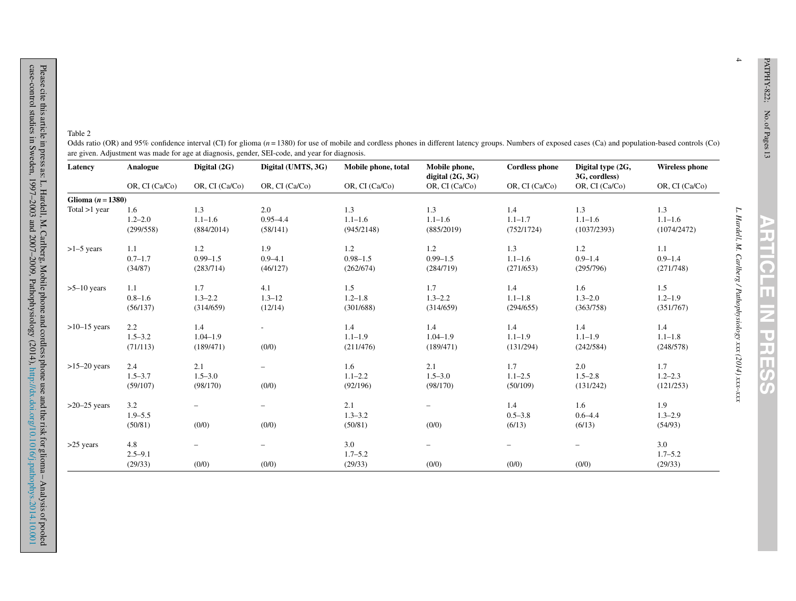in a mba.<br>Manazarta m.  $\Box$ 

 $\mathbb{R}^n$ 

 $\blacksquare$ E ш  $\overline{CD}$ U.

4

<span id="page-3-0"></span>

| Latency             | Analogue       | Digital (2G)             | Digital (UMTS, 3G)       | Mobile phone, total | Mobile phone,<br>digital $(2G, 3G)$ | <b>Cordless phone</b> | Digital type (2G,<br>3G, cordless) | <b>Wireless phone</b> |
|---------------------|----------------|--------------------------|--------------------------|---------------------|-------------------------------------|-----------------------|------------------------------------|-----------------------|
|                     | OR, CI (Ca/Co) | OR, CI (Ca/Co)           | OR, CI (Ca/Co)           | OR, CI (Ca/Co)      | OR, CI (Ca/Co)                      | OR, CI (Ca/Co)        | OR, CI (Ca/Co)                     | OR, CI (Ca/Co)        |
| Glioma $(n = 1380)$ |                |                          |                          |                     |                                     |                       |                                    |                       |
| Total $>1$ year     | 1.6            | 1.3                      | 2.0                      | 1.3                 | 1.3                                 | 1.4                   | 1.3                                | 1.3                   |
|                     | $1.2 - 2.0$    | $1.1 - 1.6$              | $0.95 - 4.4$             | $1.1 - 1.6$         | $1.1 - 1.6$                         | $1.1 - 1.7$           | $1.1 - 1.6$                        | $1.1 - 1.6$           |
|                     | (299/558)      | (884/2014)               | (58/141)                 | (945/2148)          | (885/2019)                          | (752/1724)            | (1037/2393)                        | (1074/2472)           |
| $>1-5$ years        | 1.1            | 1.2                      | 1.9                      | 1.2                 | 1.2                                 | 1.3                   | 1.2                                | 1.1                   |
|                     | $0.7 - 1.7$    | $0.99 - 1.5$             | $0.9 - 4.1$              | $0.98 - 1.5$        | $0.99 - 1.5$                        | $1.1 - 1.6$           | $0.9 - 1.4$                        | $0.9 - 1.4$           |
|                     | (34/87)        | (283/714)                | (46/127)                 | (262/674)           | (284/719)                           | (271/653)             | (295/796)                          | (271/748)             |
| $>5-10$ years       | 1.1            | 1.7                      | 4.1                      | 1.5                 | 1.7                                 | 1.4                   | 1.6                                | 1.5                   |
|                     | $0.8 - 1.6$    | $1.3 - 2.2$              | $1.3 - 12$               | $1.2 - 1.8$         | $1.3 - 2.2$                         | $1.1 - 1.8$           | $1.3 - 2.0$                        | $1.2 - 1.9$           |
|                     | (56/137)       | (314/659)                | (12/14)                  | (301/688)           | (314/659)                           | (294/655)             | (363/758)                          | (351/767)             |
| $>10-15$ years      | 2.2            | 1.4                      | $\sim$                   | 1.4                 | 1.4                                 | 1.4                   | 1.4                                | 1.4                   |
|                     | $1.5 - 3.2$    | $1.04 - 1.9$             |                          | $1.1 - 1.9$         | $1.04 - 1.9$                        | $1.1 - 1.9$           | $1.1 - 1.9$                        | $1.1 - 1.8$           |
|                     | (71/113)       | (189/471)                | (0/0)                    | (211/476)           | (189/471)                           | (131/294)             | (242/584)                          | (248/578)             |
| $>15-20$ years      | 2.4            | 2.1                      | $\overline{\phantom{0}}$ | 1.6                 | 2.1                                 | 1.7                   | 2.0                                | 1.7                   |
|                     | $1.5 - 3.7$    | $1.5 - 3.0$              |                          | $1.1 - 2.2$         | $1.5 - 3.0$                         | $1.1 - 2.5$           | $1.5 - 2.8$                        | $1.2 - 2.3$           |
|                     | (59/107)       | (98/170)                 | (0/0)                    | (92/196)            | (98/170)                            | (50/109)              | (131/242)                          | (121/253)             |
| $>20-25$ years      | 3.2            |                          | $\qquad \qquad -$        | 2.1                 | $\qquad \qquad -$                   | 1.4                   | 1.6                                | 1.9                   |
|                     | $1.9 - 5.5$    |                          |                          | $1.3 - 3.2$         |                                     | $0.5 - 3.8$           | $0.6 - 4.4$                        | $1.3 - 2.9$           |
|                     | (50/81)        | (0/0)                    | (0/0)                    | (50/81)             | (0/0)                               | (6/13)                | (6/13)                             | (54/93)               |
| $>25$ years         | 4.8            | $\overline{\phantom{0}}$ | $\overline{\phantom{m}}$ | 3.0                 | $\overline{\phantom{0}}$            |                       |                                    | 3.0                   |
|                     | $2.5 - 9.1$    |                          |                          | $1.7 - 5.2$         |                                     |                       |                                    | $1.7 - 5.2$           |
|                     | (29/33)        | (0/0)                    | (0/0)                    | (29/33)             | (0/0)                               | (0/0)                 | (0/0)                              | (29/33)               |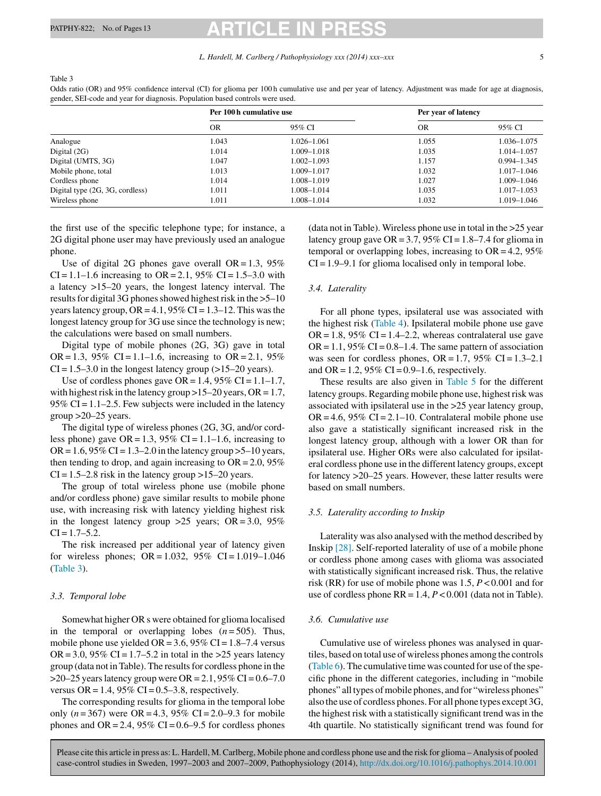<span id="page-4-0"></span>Table 3

| gender, SEI-code and year for diagnosis. Population based controls were used. |                          |                 |                     |                 |  |  |  |  |  |
|-------------------------------------------------------------------------------|--------------------------|-----------------|---------------------|-----------------|--|--|--|--|--|
|                                                                               | Per 100 h cumulative use |                 | Per year of latency |                 |  |  |  |  |  |
|                                                                               | <b>OR</b>                | 95% CI          | <b>OR</b>           | 95% CI          |  |  |  |  |  |
| Analogue                                                                      | 1.043                    | $1.026 - 1.061$ | 1.055               | 1.036-1.075     |  |  |  |  |  |
| Digital $(2G)$                                                                | 1.014                    | 1.009-1.018     | 1.035               | 1.014-1.057     |  |  |  |  |  |
| Digital (UMTS, 3G)                                                            | 1.047                    | $1.002 - 1.093$ | 1.157               | $0.994 - 1.345$ |  |  |  |  |  |
| Mobile phone, total                                                           | 1.013                    | 1.009-1.017     | 1.032               | $1.017 - 1.046$ |  |  |  |  |  |
| Cordless phone                                                                | 1.014                    | 1.008-1.019     | 1.027               | 1.009-1.046     |  |  |  |  |  |
| Digital type (2G, 3G, cordless)                                               | 1.011                    | 1.008-1.014     | 1.035               | 1.017–1.053     |  |  |  |  |  |

Odds ratio (OR) and 95% confidence interval (CI) for glioma per 100 h cumulative use and per year of latency. Adjustment was made for age at diagnosis,

Wireless phone 1.019–1.046 1.011 1.008–1.014 1.008–1.014 1.032 1.019–1.046

the first use of the specific telephone type; for instance, a 2G digital phone user may have previously used an analogue phone.

Use of digital 2G phones gave overall  $OR = 1.3$ , 95% CI = 1.1–1.6 increasing to OR = 2.1, 95% CI = 1.5–3.0 with a latency >15–20 years, the longest latency interval. The results for digital 3G phones showed highest risk in the  $>5$ –10 years latency group,  $OR = 4.1$ ,  $95\% CI = 1.3-12$ . This was the longest latency group for 3G use since the technology is new; the calculations were based on small numbers.

Digital type of mobile phones (2G, 3G) gave in total OR = 1.3, 95% CI = 1.1–1.6, increasing to OR = 2.1, 95%  $CI = 1.5-3.0$  in the longest latency group (>15–20 years).

Use of cordless phones gave  $OR = 1.4$ , 95%  $CI = 1.1 - 1.7$ , with highest risk in the latency group  $>15-20$  years, OR = 1.7, 95% CI =  $1.1-2.5$ . Few subjects were included in the latency group  $>20-25$  years.

The digital type of wireless phones (2G, 3G, and/or cordless phone) gave  $OR = 1.3$ , 95%  $CI = 1.1-1.6$ , increasing to OR =  $1.6$ , 95% CI =  $1.3-2.0$  in the latency group > 5–10 years, then tending to drop, and again increasing to  $OR = 2.0$ , 95%  $CI = 1.5-2.8$  risk in the latency group >15–20 years.

The group of total wireless phone use (mobile phone and/or cordless phone) gave similar results to mobile phone use, with increasing risk with latency yielding highest risk in the longest latency group  $>25$  years; OR = 3.0, 95%  $CI = 1.7 - 5.2.$ 

The risk increased per additional year of latency given for wireless phones;  $OR = 1.032$ ,  $95\%$   $CI = 1.019 - 1.046$ (Table 3).

### *3.3. Temporal lobe*

Somewhat higher OR s were obtained for glioma localised in the temporal or overlapping lobes  $(n=505)$ . Thus, mobile phone use yielded OR =  $3.6$ ,  $95\%$  CI =  $1.8-7.4$  versus  $OR = 3.0$ , 95% CI = 1.7–5.2 in total in the >25 years latency group (data not in Table). The resultsfor cordless phone in the  $>20-25$  years latency group were OR = 2.1, 95% CI = 0.6–7.0 versus OR = 1.4, 95% CI =  $0.5-3.8$ , respectively.

The corresponding results for glioma in the temporal lobe only  $(n = 367)$  were OR = 4.3, 95% CI = 2.0–9.3 for mobile phones and OR = 2.4, 95% CI =  $0.6-9.5$  for cordless phones (data not in Table). Wireless phone use in total in the >25 year latency group gave  $OR = 3.7$ , 95%  $CI = 1.8 - 7.4$  for glioma in temporal or overlapping lobes, increasing to  $OR = 4.2$ , 95%  $CI = 1.9 - 9.1$  for glioma localised only in temporal lobe.

# *3.4. Laterality*

For all phone types, ipsilateral use was associated with the highest risk ([Table](#page-5-0) 4). Ipsilateral mobile phone use gave  $OR = 1.8$ , 95% CI = 1.4–2.2, whereas contralateral use gave  $OR = 1.1$ , 95% CI = 0.8–1.4. The same pattern of association was seen for cordless phones,  $OR = 1.7$ ,  $95\%$  CI = 1.3–2.1 and OR = 1.2, 95% CI =  $0.9-1.6$ , respectively.

These results are also given in [Table](#page-5-0) 5 for the different latency groups. Regarding mobile phone use, highest risk was associated with ipsilateral use in the >25 year latency group,  $OR = 4.6$ , 95%  $CI = 2.1 - 10$ . Contralateral mobile phone use also gave a statistically significant increased risk in the longest latency group, although with a lower OR than for ipsilateral use. Higher ORs were also calculated for ipsilateral cordless phone use in the different latency groups, except for latency >20–25 years. However, these latter results were based on small numbers.

### *3.5. Laterality according to Inskip*

Laterality was also analysed with the method described by Inskip [\[28\].](#page-12-0) Self-reported laterality of use of a mobile phone or cordless phone among cases with glioma was associated with statistically significant increased risk. Thus, the relative risk (RR) for use of mobile phone was 1.5, *P* < 0.001 and for use of cordless phone  $RR = 1.4$ ,  $P < 0.001$  (data not in Table).

### *3.6. Cumulative use*

Cumulative use of wireless phones was analysed in quartiles, based on total use of wireless phones among the controls  $(Table 6)$  $(Table 6)$  $(Table 6)$ . The cumulative time was counted for use of the specific phone in the different categories, including in "mobile phones" all types of mobile phones, and for "wireless phones" also the use of cordless phones. For all phone types except 3G, the highest risk with a statistically significant trend was in the 4th quartile. No statistically significant trend was found for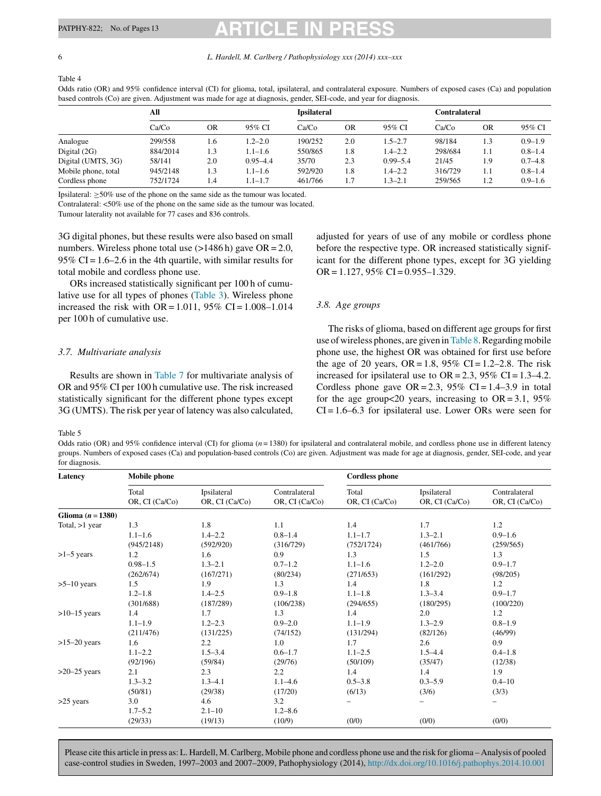Table 4

<span id="page-5-0"></span>6 *L. Hardell, M. Carlberg / Pathophysiology xxx (2014) xxx–xxx*

**All Ipsilateral Contralateral** Ca/Co OR 95% CI Ca/Co OR 95% CI Ca/Co OR 95% CI Analogue 299/558 1.6 1.2–2.0 190/252 2.0 1.5–2.7 98/184 1.3 0.9–1.9 Digital (2G) 884/2014 1.3 1.1–1.6 550/865 1.8 1.4–2.2 298/684 1.1 0.8–1.4 Digital (UMTS, 3G) 58/141 2.0 0.95–4.4 35/70 2.3 0.99–5.4 21/45 1.9 0.7–4.8 Mobile phone, total 945/2148 1.3 1.1–1.6 592/920 1.8 1.4–2.2 316/729 1.1 0.8–1.4 Cordless phone 752/1724 1.4 1.1–1.7 461/766 1.7 1.3–2.1 259/565 1.2 0.9–1.6

Odds ratio (OR) and 95% confidence interval (CI) for glioma, total, ipsilateral, and contralateral exposure. Numbers of exposed cases (Ca) and population based controls (Co) are given. Adjustment was made for age at diagnosis, gender, SEI-code, and year for diagnosis.

Ipsilateral: ≥50% use of the phone on the same side as the tumour was located.

Contralateral: <50% use of the phone on the same side as the tumour was located.

Tumour laterality not available for 77 cases and 836 controls.

3G digital phones, but these results were also based on small numbers. Wireless phone total use  $(>1486 h)$  gave OR = 2.0, 95% CI =  $1.6-2.6$  in the 4th quartile, with similar results for total mobile and cordless phone use.

ORs increased statistically significant per 100 h of cumulative use for all types of phones [\(Table](#page-4-0) 3). Wireless phone increased the risk with OR =  $1.011$ , 95% CI =  $1.008 - 1.014$ per 100 h of cumulative use.

# *3.7. Multivariate analysis*

Results are shown in [Table](#page-6-0) 7 for multivariate analysis of OR and 95% CI per 100 h cumulative use. The risk increased statistically significant for the different phone types except 3G (UMTS). The risk per year of latency was also calculated,

adjusted for years of use of any mobile or cordless phone before the respective type. OR increased statistically significant for the different phone types, except for 3G yielding  $OR = 1.127$ , 95% CI = 0.955-1.329.

# *3.8. Age groups*

The risks of glioma, based on different age groups for first use of wireless phones, are given in [Table](#page-6-0) 8. Regarding mobile phone use, the highest OR was obtained for first use before the age of 20 years,  $OR = 1.8$ ,  $95\%$  CI = 1.2–2.8. The risk increased for ipsilateral use to  $OR = 2.3$ , 95% CI = 1.3–4.2. Cordless phone gave  $OR = 2.3$ , 95% CI = 1.4–3.9 in total for the age group $< 20$  years, increasing to OR = 3.1, 95%  $CI = 1.6-6.3$  for ipsilateral use. Lower ORs were seen for

Table 5

Odds ratio (OR) and 95% confidence interval (CI) for glioma  $(n = 1380)$  for ipsilateral and contralateral mobile, and cordless phone use in different latency groups. Numbers of exposed cases (Ca) and population-based controls (Co) are given. Adjustment was made for age at diagnosis, gender, SEI-code, and year for diagnosis

| Latency           | <b>Mobile</b> phone     |                               |                                 | <b>Cordless phone</b>   |                               |                                 |
|-------------------|-------------------------|-------------------------------|---------------------------------|-------------------------|-------------------------------|---------------------------------|
|                   | Total<br>OR, CI (Ca/Co) | Ipsilateral<br>OR, CI (Ca/Co) | Contralateral<br>OR, CI (Ca/Co) | Total<br>OR, CI (Ca/Co) | Ipsilateral<br>OR, CI (Ca/Co) | Contralateral<br>OR, CI (Ca/Co) |
| Glioma $(n=1380)$ |                         |                               |                                 |                         |                               |                                 |
| Total, $>1$ year  | 1.3                     | 1.8                           | 1.1                             | 1.4                     | 1.7                           | 1.2                             |
|                   | $1.1 - 1.6$             | $1.4 - 2.2$                   | $0.8 - 1.4$                     | $1.1 - 1.7$             | $1.3 - 2.1$                   | $0.9 - 1.6$                     |
|                   | (945/2148)              | (592/920)                     | (316/729)                       | (752/1724)              | (461/766)                     | (259/565)                       |
| $>1-5$ years      | 1.2                     | 1.6                           | 0.9                             | 1.3                     | 1.5                           | 1.3                             |
|                   | $0.98 - 1.5$            | $1.3 - 2.1$                   | $0.7 - 1.2$                     | $1.1 - 1.6$             | $1.2 - 2.0$                   | $0.9 - 1.7$                     |
|                   | (262/674)               | (167/271)                     | (80/234)                        | (271/653)               | (161/292)                     | (98/205)                        |
| $>5-10$ years     | 1.5                     | 1.9                           | 1.3                             | 1.4                     | 1.8                           | 1.2                             |
|                   | $1.2 - 1.8$             | $1.4 - 2.5$                   | $0.9 - 1.8$                     | $1.1 - 1.8$             | $1.3 - 3.4$                   | $0.9 - 1.7$                     |
|                   | (301/688)               | (187/289)                     | (106/238)                       | (294/655)               | (180/295)                     | (100/220)                       |
| $>10-15$ years    | 1.4                     | 1.7                           | 1.3                             | 1.4                     | 2.0                           | 1.2                             |
|                   | $1.1 - 1.9$             | $1.2 - 2.3$                   | $0.9 - 2.0$                     | $1.1 - 1.9$             | $1.3 - 2.9$                   | $0.8 - 1.9$                     |
|                   | (211/476)               | (131/225)                     | (74/152)                        | (131/294)               | (82/126)                      | (46/99)                         |
| $>15-20$ years    | 1.6                     | $2.2\,$                       | 1.0                             | 1.7                     | 2.6                           | 0.9                             |
|                   | $1.1 - 2.2$             | $1.5 - 3.4$                   | $0.6 - 1.7$                     | $1.1 - 2.5$             | $1.5 - 4.4$                   | $0.4 - 1.8$                     |
|                   | (92/196)                | (59/84)                       | (29/76)                         | (50/109)                | (35/47)                       | (12/38)                         |
| $>20-25$ years    | 2.1                     | 2.3                           | 2.2                             | 1.4                     | 1.4                           | 1.9                             |
|                   | $1.3 - 3.2$             | $1.3 - 4.1$                   | $1.1 - 4.6$                     | $0.5 - 3.8$             | $0.3 - 5.9$                   | $0.4 - 10$                      |
|                   | (50/81)                 | (29/38)                       | (17/20)                         | (6/13)                  | (3/6)                         | (3/3)                           |
| $>25$ years       | 3.0                     | 4.6                           | 3.2                             | -                       |                               | $\overline{\phantom{0}}$        |
|                   | $1.7 - 5.2$             | $2.1 - 10$                    | $1.2 - 8.6$                     |                         |                               |                                 |
|                   | (29/33)                 | (19/13)                       | (10/9)                          | (0/0)                   | (0/0)                         | (0/0)                           |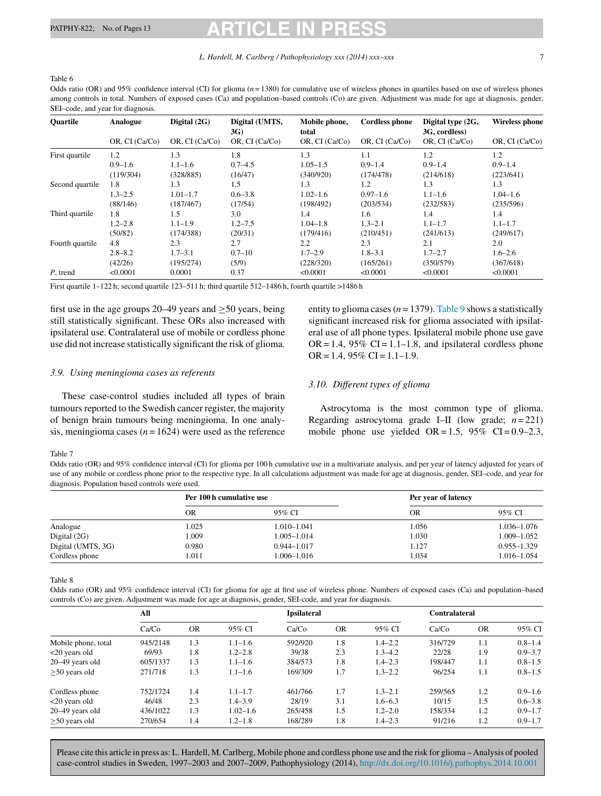#### <span id="page-6-0"></span>Table 6

Odds ratio (OR) and 95% confidence interval (CI) for glioma  $(n = 1380)$  for cumulative use of wireless phones in quartiles based on use of wireless phones among controls in total. Numbers of exposed cases (Ca) and population–based controls (Co) are given. Adjustment was made for age at diagnosis, gender, SEI–code, and year for diagnosis.

| Quartile        | Analogue       | Digital (2G)   | Digital (UMTS,<br>3G) | Mobile phone,<br>total | <b>Cordless phone</b> | Digital type (2G,<br>3G, cordless) | <b>Wireless phone</b> |
|-----------------|----------------|----------------|-----------------------|------------------------|-----------------------|------------------------------------|-----------------------|
|                 | OR, CI (Ca/Co) | OR, CI (Ca/Co) | OR, CI (Ca/Co)        | OR, CI (Ca/Co)         | OR, CI (Ca/Co)        | OR, CI (Ca/Co)                     | OR, CI (Ca/Co)        |
| First quartile  | 1.2            | 1.3            | 1.8                   | 1.3                    | 1.1                   | 1.2                                | 1.2                   |
|                 | $0.9 - 1.6$    | $1.1 - 1.6$    | $0.7 - 4.5$           | $1.05 - 1.5$           | $0.9 - 1.4$           | $0.9 - 1.4$                        | $0.9 - 1.4$           |
|                 | (119/304)      | (328/885)      | (16/47)               | (340/920)              | (174/478)             | (214/618)                          | (223/641)             |
| Second quartile | 1.8            | 1.3            | 1.5                   | 1.3                    | 1.2                   | 1.3                                | 1.3                   |
|                 | $1.3 - 2.5$    | $1.01 - 1.7$   | $0.6 - 3.8$           | $1.02 - 1.6$           | $0.97 - 1.6$          | $1.1 - 1.6$                        | $1.04 - 1.6$          |
|                 | (88/146)       | (187/467)      | (17/54)               | (198/492)              | (203/534)             | (232/583)                          | (235/596)             |
| Third quartile  | 1.8            | 1.5            | 3.0                   | 1.4                    | 1.6                   | 1.4                                | 1.4                   |
|                 | $1.2 - 2.8$    | $1.1 - 1.9$    | $1.2 - 7.5$           | $1.04 - 1.8$           | $1.3 - 2.1$           | $1.1 - 1.7$                        | $1.1 - 1.7$           |
|                 | (50/82)        | (174/388)      | (20/31)               | (179/416)              | (210/451)             | (241/613)                          | (249/617)             |
| Fourth quartile | 4.8            | 2.3            | 2.7                   | $2.2\,$                | 2.3                   | 2.1                                | 2.0                   |
|                 | $2.8 - 8.2$    | $1.7 - 3.1$    | $0.7 - 10$            | $1.7 - 2.9$            | $1.8 - 3.1$           | $1.7 - 2.7$                        | $1.6 - 2.6$           |
|                 | (42/26)        | (195/274)      | (5/9)                 | (228/320)              | (165/261)             | (350/579)                          | (367/618)             |
| P, trend        | < 0.0001       | 0.0001         | 0.37                  | < 0.0001               | < 0.0001              | < 0.0001                           | < 0.0001              |

First quartile 1–122 h; second quartile 123–511 h; third quartile 512–1486 h, fourth quartile >1486 h

first use in the age groups 20–49 years and  $\geq$ 50 years, being still statistically significant. These ORs also increased with ipsilateral use. Contralateral use of mobile or cordless phone use did not increase statistically significant the risk of glioma.

### *3.9. Using meningioma cases as referents*

These case-control studies included all types of brain tumours reported to the Swedish cancer register, the majority of benign brain tumours being meningioma. In one analysis, meningioma cases  $(n = 1624)$  were used as the reference entity to glioma cases ( $n = 1379$ ). [Table](#page-7-0) 9 shows a statistically significant increased risk for glioma associated with ipsilateral use of all phone types. Ipsilateral mobile phone use gave  $OR = 1.4$ , 95%  $CI = 1.1 - 1.8$ , and ipsilateral cordless phone  $OR = 1.4$ , 95% CI = 1.1–1.9.

# *3.10. Different types of glioma*

Astrocytoma is the most common type of glioma. Regarding astrocytoma grade I–II (low grade;  $n = 221$ ) mobile phone use yielded  $OR = 1.5$ , 95%  $CI = 0.9-2.3$ ,

#### Table 7

Odds ratio (OR) and 95% confidence interval (CI) for glioma per 100 h cumulative use in a multivariate analysis, and per year of latency adjusted for years of use of any mobile or cordless phone prior to the respective type. In all calculations adjustment was made for age at diagnosis, gender, SEI–code, and year for diagnosis. Population based controls were used.

|                    | Per 100 h cumulative use |                 | Per year of latency |                 |
|--------------------|--------------------------|-----------------|---------------------|-----------------|
|                    | OR                       | 95% CI          | OR                  | 95% CI          |
| Analogue           | 1.025                    | $1.010 - 1.041$ | 1.056               | 1.036–1.076     |
| Digital $(2G)$     | 1.009                    | $1.005 - 1.014$ | 1.030               | 1.009-1.052     |
| Digital (UMTS, 3G) | 0.980                    | $0.944 - 1.017$ | 1.127               | $0.955 - 1.329$ |
| Cordless phone     | 1.011                    | 1.006–1.016     | 1.034               | 1.016–1.054     |

Table 8

Odds ratio (OR) and 95% confidence interval (CI) for glioma for age at first use of wireless phone. Numbers of exposed cases (Ca) and population–based controls (Co) are given. Adjustment was made for age at diagnosis, gender, SEI-code, and year for diagnosis.

|                     | All      |           |              | <b>Ipsilateral</b> |           |             | <b>Contralateral</b> |           |             |
|---------------------|----------|-----------|--------------|--------------------|-----------|-------------|----------------------|-----------|-------------|
|                     | Ca/Co    | <b>OR</b> | 95% CI       | Ca/Co              | <b>OR</b> | 95% CI      | Ca/Co                | <b>OR</b> | 95% CI      |
| Mobile phone, total | 945/2148 | 1.3       | $1.1 - 1.6$  | 592/920            | 1.8       | $1.4 - 2.2$ | 316/729              | 1.1       | $0.8 - 1.4$ |
| $<20$ years old     | 69/93    | 1.8       | $1.2 - 2.8$  | 39/38              | 2.3       | $1.3 - 4.2$ | 22/28                | 1.9       | $0.9 - 3.7$ |
| 20–49 years old     | 605/1337 | 1.3       | $1.1 - 1.6$  | 384/573            | 1.8       | $1.4 - 2.3$ | 198/447              | 1.1       | $0.8 - 1.5$ |
| $\geq$ 50 years old | 271/718  | 1.3       | $1.1 - 1.6$  | 169/309            | 1.7       | $1.3 - 2.2$ | 96/254               | 1.1       | $0.8 - 1.5$ |
| Cordless phone      | 752/1724 | 1.4       | $1.1 - 1.7$  | 461/766            | 1.7       | $1.3 - 2.1$ | 259/565              | 1.2       | $0.9 - 1.6$ |
| $<20$ years old     | 46/48    | 2.3       | $1.4 - 3.9$  | 28/19              | 3.1       | $1.6 - 6.3$ | 10/15                | 1.5       | $0.6 - 3.8$ |
| $20-49$ years old   | 436/1022 | 1.3       | $1.02 - 1.6$ | 265/458            | 1.5       | $1.2 - 2.0$ | 158/334              | 1.2       | $0.9 - 1.7$ |
| $\geq$ 50 years old | 270/654  | 1.4       | $1.2 - 1.8$  | 168/289            | 1.8       | $1.4 - 2.3$ | 91/216               | 1.2       | $0.9 - 1.7$ |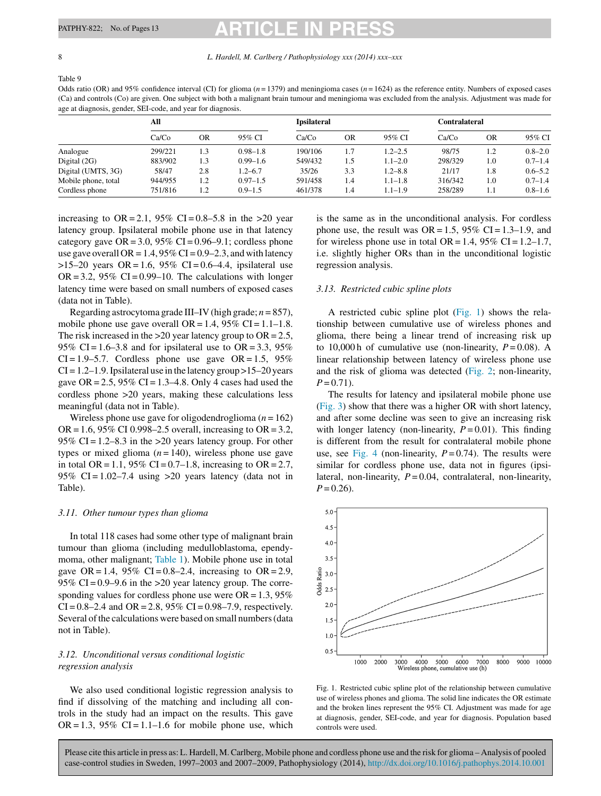<span id="page-7-0"></span>8 *L. Hardell, M. Carlberg / Pathophysiology xxx (2014) xxx–xxx*

Table 9

Odds ratio (OR) and 95% confidence interval (CI) for glioma  $(n = 1379)$  and meningioma cases  $(n = 1624)$  as the reference entity. Numbers of exposed cases (Ca) and controls (Co) are given. One subject with both a malignant brain tumour and meningioma was excluded from the analysis. Adjustment was made for age at diagnosis, gender, SEI-code, and year for diagnosis.

|                     | All     |     |              | <b>Ipsilateral</b> |     |             | <b>Contralateral</b> |           |             |
|---------------------|---------|-----|--------------|--------------------|-----|-------------|----------------------|-----------|-------------|
|                     | Ca/Co   | OR  | 95% CI       | Ca/Co              | OR  | 95% CI      | Ca/Co                | <b>OR</b> | 95% CI      |
| Analogue            | 299/221 | 1.3 | $0.98 - 1.8$ | 190/106            | 1.7 | $1.2 - 2.5$ | 98/75                | 1.2       | $0.8 - 2.0$ |
| Digital $(2G)$      | 883/902 | 1.3 | $0.99 - 1.6$ | 549/432            | 1.5 | $1.1 - 2.0$ | 298/329              | 1.0       | $0.7 - 1.4$ |
| Digital (UMTS, 3G)  | 58/47   | 2.8 | $1.2 - 6.7$  | 35/26              | 3.3 | $1.2 - 8.8$ | 21/17                | 1.8       | $0.6 - 5.2$ |
| Mobile phone, total | 944/955 | 1.2 | $0.97 - 1.5$ | 591/458            | 1.4 | $1.1 - 1.8$ | 316/342              | 1.0       | $0.7 - 1.4$ |
| Cordless phone      | 751/816 | 1.2 | $0.9 - 1.5$  | 461/378            | 1.4 | $1.1 - 1.9$ | 258/289              | 1.1       | $0.8 - 1.6$ |

increasing to OR = 2.1, 95% CI = 0.8–5.8 in the > 20 year latency group. Ipsilateral mobile phone use in that latency category gave  $OR = 3.0$ , 95%  $CI = 0.96 - 9.1$ ; cordless phone use gave overall OR =  $1.4$ , 95% CI = 0.9–2.3, and with latency  $>15-20$  years OR = 1.6, 95% CI = 0.6–4.4, ipsilateral use  $OR = 3.2$ , 95%  $CI = 0.99-10$ . The calculations with longer latency time were based on small numbers of exposed cases (data not in Table).

Regarding astrocytoma grade III–IV (high grade; *n* = 857), mobile phone use gave overall  $OR = 1.4$ , 95%  $CI = 1.1 - 1.8$ . The risk increased in the  $>20$  year latency group to OR = 2.5, 95% CI = 1.6–3.8 and for ipsilateral use to OR = 3.3, 95%  $CI = 1.9 - 5.7$ . Cordless phone use gave  $OR = 1.5$ , 95%  $CI = 1.2-1.9$ . Ipsilateral use in the latency group  $>15-20$  years gave  $OR = 2.5$ , 95%  $CI = 1.3-4.8$ . Only 4 cases had used the cordless phone >20 years, making these calculations less meaningful (data not in Table).

Wireless phone use gave for oligodendroglioma (*n* = 162) OR = 1.6, 95% CI 0.998–2.5 overall, increasing to OR = 3.2, 95% CI =  $1.2-8.3$  in the  $>20$  years latency group. For other types or mixed glioma  $(n = 140)$ , wireless phone use gave in total OR = 1.1, 95% CI = 0.7–1.8, increasing to OR = 2.7, 95% CI =  $1.02 - 7.4$  using  $>20$  years latency (data not in Table).

# *3.11. Other tumour types than glioma*

In total 118 cases had some other type of malignant brain tumour than glioma (including medulloblastoma, ependymoma, other malignant; [Table](#page-2-0) 1). Mobile phone use in total gave OR = 1.4, 95% CI = 0.8–2.4, increasing to OR = 2.9, 95% CI =  $0.9-9.6$  in the >  $20$  year latency group. The corresponding values for cordless phone use were  $OR = 1.3$ , 95%  $CI = 0.8 - 2.4$  and  $OR = 2.8$ , 95%  $CI = 0.98 - 7.9$ , respectively. Several of the calculations were based on small numbers (data not in Table).

# *3.12. Unconditional versus conditional logistic regression analysis*

We also used conditional logistic regression analysis to find if dissolving of the matching and including all controls in the study had an impact on the results. This gave  $OR = 1.3$ , 95%  $CI = 1.1-1.6$  for mobile phone use, which is the same as in the unconditional analysis. For cordless phone use, the result was  $OR = 1.5$ , 95% CI = 1.3–1.9, and for wireless phone use in total OR = 1.4, 95% CI =  $1.2$ – $1.7$ , i.e. slightly higher ORs than in the unconditional logistic regression analysis.

# *3.13. Restricted cubic spline plots*

A restricted cubic spline plot (Fig. 1) shows the relationship between cumulative use of wireless phones and glioma, there being a linear trend of increasing risk up to 10,000 h of cumulative use (non-linearity,  $P = 0.08$ ). A linear relationship between latency of wireless phone use and the risk of glioma was detected ([Fig.](#page-8-0) 2; non-linearity,  $P = 0.71$ .

The results for latency and ipsilateral mobile phone use [\(Fig.](#page-8-0) 3) show that there was a higher OR with short latency, and after some decline was seen to give an increasing risk with longer latency (non-linearity,  $P = 0.01$ ). This finding is different from the result for contralateral mobile phone use, see [Fig.](#page-8-0) 4 (non-linearity,  $P = 0.74$ ). The results were similar for cordless phone use, data not in figures (ipsilateral, non-linearity, *P* = 0.04, contralateral, non-linearity,  $P = 0.26$ .



Fig. 1. Restricted cubic spline plot of the relationship between cumulative use of wireless phones and glioma. The solid line indicates the OR estimate and the broken lines represent the 95% CI. Adjustment was made for age at diagnosis, gender, SEI-code, and year for diagnosis. Population based controls were used.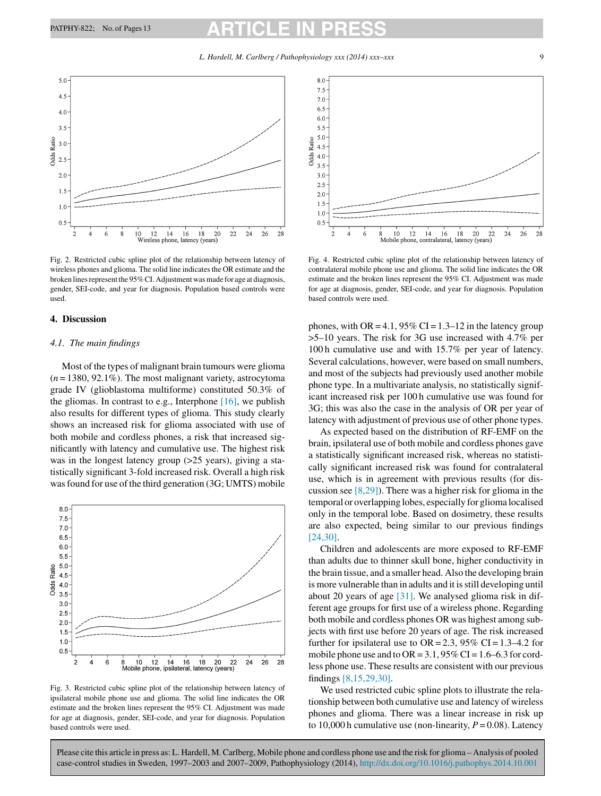*L. Hardell, M. Carlberg / Pathophysiology xxx (2014) xxx–xxx* 9

<span id="page-8-0"></span>

Fig. 2. Restricted cubic spline plot of the relationship between latency of wireless phones and glioma. The solid line indicates the OR estimate and the broken lines represent the 95% CI. Adjustment was made for age at diagnosis, gender, SEI-code, and year for diagnosis. Population based controls were used.

### **4. Discussion**

### *4.1. The main findings*

Most of the types of malignant brain tumours were glioma (*n* = 1380, 92.1%). The most malignant variety, astrocytoma grade IV (glioblastoma multiforme) constituted 50.3% of the gliomas. In contrast to e.g., Interphone  $[16]$ , we publish also results for different types of glioma. This study clearly shows an increased risk for glioma associated with use of both mobile and cordless phones, a risk that increased significantly with latency and cumulative use. The highest risk was in the longest latency group (>25 years), giving a statistically significant 3-fold increased risk. Overall a high risk was found for use of the third generation (3G; UMTS) mobile



Fig. 3. Restricted cubic spline plot of the relationship between latency of ipsilateral mobile phone use and glioma. The solid line indicates the OR estimate and the broken lines represent the 95% CI. Adjustment was made for age at diagnosis, gender, SEI-code, and year for diagnosis. Population based controls were used.



Fig. 4. Restricted cubic spline plot of the relationship between latency of contralateral mobile phone use and glioma. The solid line indicates the OR estimate and the broken lines represent the 95% CI. Adjustment was made for age at diagnosis, gender, SEI-code, and year for diagnosis. Population based controls were used.

phones, with OR =  $4.1$ , 95% CI =  $1.3-12$  in the latency group >5–10 years. The risk for 3G use increased with 4.7% per 100 h cumulative use and with 15.7% per year of latency. Several calculations, however, were based on small numbers, and most of the subjects had previously used another mobile phone type. In a multivariate analysis, no statistically significant increased risk per 100 h cumulative use was found for 3G; this was also the case in the analysis of OR per year of latency with adjustment of previous use of other phone types.

As expected based on the distribution of RF-EMF on the brain, ipsilateral use of both mobile and cordless phones gave a statistically significant increased risk, whereas no statistically significant increased risk was found for contralateral use, which is in agreement with previous results (for discussion see [\[8,29\]\).](#page-11-0) There was a higher risk for glioma in the temporal or overlapping lobes, especially for glioma localised only in the temporal lobe. Based on dosimetry, these results are also expected, being similar to our previous findings [\[24,30\].](#page-12-0)

Children and adolescents are more exposed to RF-EMF than adults due to thinner skull bone, higher conductivity in the brain tissue, and a smaller head. Also the developing brain is more vulnerable than in adults and it isstill developing until about 20 years of age [\[31\].](#page-12-0) We analysed glioma risk in different age groups for first use of a wireless phone. Regarding both mobile and cordless phones OR was highest among subjects with first use before 20 years of age. The risk increased further for ipsilateral use to  $OR = 2.3$ , 95% CI = 1.3–4.2 for mobile phone use and to  $OR = 3.1$ ,  $95\% CI = 1.6 - 6.3$  for cordless phone use. These results are consistent with our previous findings [\[8,15,29,30\].](#page-11-0)

We used restricted cubic spline plots to illustrate the relationship between both cumulative use and latency of wireless phones and glioma. There was a linear increase in risk up to 10,000 h cumulative use (non-linearity,  $P = 0.08$ ). Latency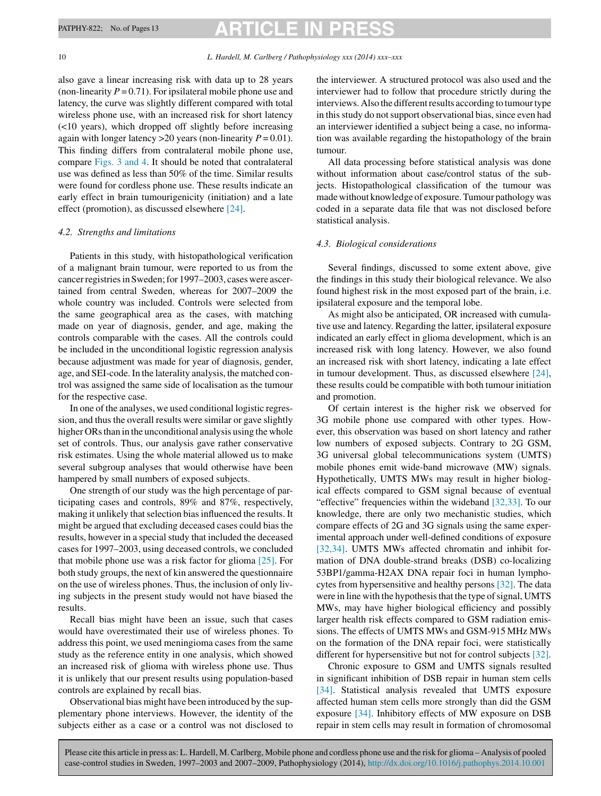#### 10 *L. Hardell, M. Carlberg / Pathophysiology xxx (2014) xxx–xxx*

also gave a linear increasing risk with data up to 28 years (non-linearity  $P = 0.71$ ). For ipsilateral mobile phone use and latency, the curve was slightly different compared with total wireless phone use, with an increased risk for short latency (<10 years), which dropped off slightly before increasing again with longer latency  $>20$  years (non-linearity  $P = 0.01$ ). This finding differs from contralateral mobile phone use, compare [Figs.](#page-8-0) 3 and 4. It should be noted that contralateral use was defined as less than 50% of the time. Similar results were found for cordless phone use. These results indicate an early effect in brain tumourigenicity (initiation) and a late effect (promotion), as discussed elsewhere [\[24\].](#page-12-0)

### *4.2. Strengths and limitations*

Patients in this study, with histopathological verification of a malignant brain tumour, were reported to us from the cancer registries in Sweden; for 1997–2003, cases were ascertained from central Sweden, whereas for 2007–2009 the whole country was included. Controls were selected from the same geographical area as the cases, with matching made on year of diagnosis, gender, and age, making the controls comparable with the cases. All the controls could be included in the unconditional logistic regression analysis because adjustment was made for year of diagnosis, gender, age, and SEI-code.In the laterality analysis, the matched control was assigned the same side of localisation as the tumour for the respective case.

In one of the analyses, we used conditional logistic regression, and thus the overall results were similar or gave slightly higher ORs than in the unconditional analysis using the whole set of controls. Thus, our analysis gave rather conservative risk estimates. Using the whole material allowed us to make several subgroup analyses that would otherwise have been hampered by small numbers of exposed subjects.

One strength of our study was the high percentage of participating cases and controls, 89% and 87%, respectively, making it unlikely that selection bias influenced the results. It might be argued that excluding deceased cases could bias the results, however in a special study that included the deceased cases for 1997–2003, using deceased controls, we concluded that mobile phone use was a risk factor for glioma  $[25]$ . For both study groups, the next of kin answered the questionnaire on the use of wireless phones. Thus, the inclusion of only living subjects in the present study would not have biased the results.

Recall bias might have been an issue, such that cases would have overestimated their use of wireless phones. To address this point, we used meningioma cases from the same study as the reference entity in one analysis, which showed an increased risk of glioma with wireless phone use. Thus it is unlikely that our present results using population-based controls are explained by recall bias.

Observational bias might have been introduced by the supplementary phone interviews. However, the identity of the subjects either as a case or a control was not disclosed to the interviewer. A structured protocol was also used and the interviewer had to follow that procedure strictly during the interviews. Also the different results according to tumour type in this study do not support observational bias, since even had an interviewer identified a subject being a case, no information was available regarding the histopathology of the brain tumour.

All data processing before statistical analysis was done without information about case/control status of the subjects. Histopathological classification of the tumour was made without knowledge of exposure.Tumour pathology was coded in a separate data file that was not disclosed before statistical analysis.

# *4.3. Biological considerations*

Several findings, discussed to some extent above, give the findings in this study their biological relevance. We also found highest risk in the most exposed part of the brain, i.e. ipsilateral exposure and the temporal lobe.

As might also be anticipated, OR increased with cumulative use and latency. Regarding the latter, ipsilateral exposure indicated an early effect in glioma development, which is an increased risk with long latency. However, we also found an increased risk with short latency, indicating a late effect in tumour development. Thus, as discussed elsewhere [\[24\],](#page-12-0) these results could be compatible with both tumour initiation and promotion.

Of certain interest is the higher risk we observed for 3G mobile phone use compared with other types. However, this observation was based on short latency and rather low numbers of exposed subjects. Contrary to 2G GSM, 3G universal global telecommunications system (UMTS) mobile phones emit wide-band microwave (MW) signals. Hypothetically, UMTS MWs may result in higher biological effects compared to GSM signal because of eventual "effective" frequencies within the wideband [\[32,33\].](#page-12-0) To our knowledge, there are only two mechanistic studies, which compare effects of 2G and 3G signals using the same experimental approach under well-defined conditions of exposure [\[32,34\].](#page-12-0) UMTS MWs affected chromatin and inhibit formation of DNA double-strand breaks (DSB) co-localizing 53BP1/gamma-H2AX DNA repair foci in human lymphocytes from hypersensitive and healthy persons [\[32\].](#page-12-0) The data were in line with the hypothesis that the type of signal, UMTS MWs, may have higher biological efficiency and possibly larger health risk effects compared to GSM radiation emissions. The effects of UMTS MWs and GSM-915 MHz MWs on the formation of the DNA repair foci, were statistically different for hypersensitive but not for control subjects [\[32\].](#page-12-0)

Chronic exposure to GSM and UMTS signals resulted in significant inhibition of DSB repair in human stem cells [\[34\].](#page-12-0) Statistical analysis revealed that UMTS exposure affected human stem cells more strongly than did the GSM exposure [\[34\].](#page-12-0) Inhibitory effects of MW exposure on DSB repair in stem cells may result in formation of chromosomal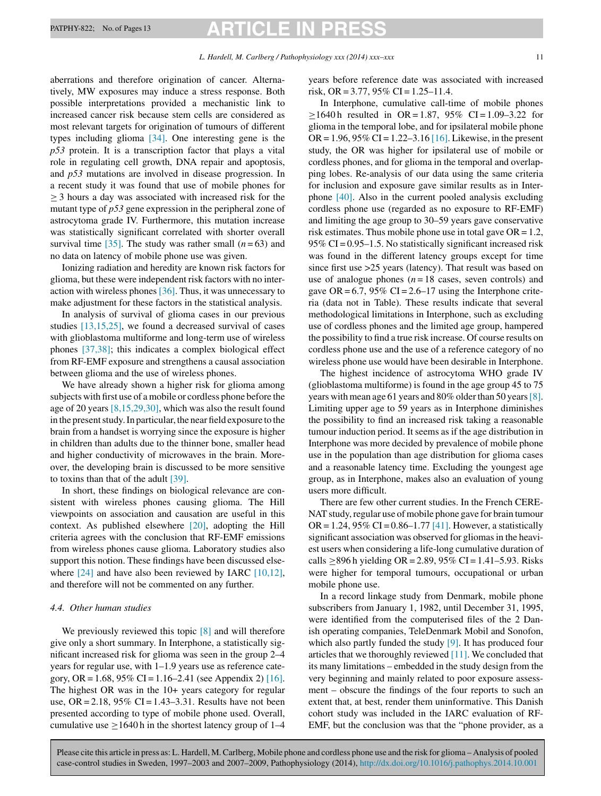# PATPHY-822; No. of Pages 13 **ARTICLE IN P**

aberrations and therefore origination of cancer. Alternatively, MW exposures may induce a stress response. Both possible interpretations provided a mechanistic link to increased cancer risk because stem cells are considered as most relevant targets for origination of tumours of different types including glioma [\[34\].](#page-12-0) One interesting gene is the *p53* protein. It is a transcription factor that plays a vital role in regulating cell growth, DNA repair and apoptosis, and *p53* mutations are involved in disease progression. In a recent study it was found that use of mobile phones for ≥ 3 hours a day was associated with increased risk for the mutant type of *p53* gene expression in the peripheral zone of astrocytoma grade IV. Furthermore, this mutation increase was statistically significant correlated with shorter overall survival time  $[35]$ . The study was rather small  $(n=63)$  and no data on latency of mobile phone use was given.

Ionizing radiation and heredity are known risk factors for glioma, but these were independent risk factors with no interaction with wireless phones  $[36]$ . Thus, it was unnecessary to make adjustment for these factors in the statistical analysis.

In analysis of survival of glioma cases in our previous studies [\[13,15,25\],](#page-11-0) we found a decreased survival of cases with glioblastoma multiforme and long-term use of wireless phones [\[37,38\];](#page-12-0) this indicates a complex biological effect from RF-EMF exposure and strengthens a causal association between glioma and the use of wireless phones.

We have already shown a higher risk for glioma among subjects with first use of a mobile or cordless phone before the age of 20 years [\[8,15,29,30\],](#page-11-0) which was also the result found in the present study. In particular, the near field exposure to the brain from a handset is worrying since the exposure is higher in children than adults due to the thinner bone, smaller head and higher conductivity of microwaves in the brain. Moreover, the developing brain is discussed to be more sensitive to toxins than that of the adult [\[39\].](#page-12-0)

In short, these findings on biological relevance are consistent with wireless phones causing glioma. The Hill viewpoints on association and causation are useful in this context. As published elsewhere [\[20\],](#page-12-0) adopting the Hill criteria agrees with the conclusion that RF-EMF emissions from wireless phones cause glioma. Laboratory studies also support this notion. These findings have been discussed else-where [\[24\]](#page-12-0) and have also been reviewed by IARC [\[10,12\],](#page-11-0) and therefore will not be commented on any further.

# *4.4. Other human studies*

We previously reviewed this topic [\[8\]](#page-11-0) and will therefore give only a short summary. In Interphone, a statistically significant increased risk for glioma was seen in the group 2–4 years for regular use, with 1–1.9 years use as reference cate-gory, OR = 1.68, 95% CI = 1.16–2.41 (see Appendix 2) [\[16\].](#page-12-0) The highest OR was in the 10+ years category for regular use,  $OR = 2.18$ ,  $95\% CI = 1.43 - 3.31$ . Results have not been presented according to type of mobile phone used. Overall, cumulative use  $>1640$  h in the shortest latency group of 1–4

years before reference date was associated with increased risk, OR = 3.77, 95% CI =  $1.25-11.4$ .

In Interphone, cumulative call-time of mobile phones  $\geq 1640$  h resulted in OR = 1.87, 95% CI = 1.09–3.22 for glioma in the temporal lobe, and for ipsilateral mobile phone OR = 1.96, 95% CI = 1.22–3.16 [\[16\].](#page-12-0) Likewise, in the present study, the OR was higher for ipsilateral use of mobile or cordless phones, and for glioma in the temporal and overlapping lobes. Re-analysis of our data using the same criteria for inclusion and exposure gave similar results as in Interphone [\[40\].](#page-12-0) Also in the current pooled analysis excluding cordless phone use (regarded as no exposure to RF-EMF) and limiting the age group to 30–59 years gave conservative risk estimates. Thus mobile phone use in total gave  $OR = 1.2$ , 95% CI =  $0.95-1.5$ . No statistically significant increased risk was found in the different latency groups except for time since first use >25 years (latency). That result was based on use of analogue phones  $(n = 18 \text{ cases}, \text{seven controls})$  and gave OR =  $6.7$ ,  $95\%$  CI =  $2.6-17$  using the Interphone criteria (data not in Table). These results indicate that several methodological limitations in Interphone, such as excluding use of cordless phones and the limited age group, hampered the possibility to find a true risk increase. Of course results on cordless phone use and the use of a reference category of no wireless phone use would have been desirable in Interphone.

The highest incidence of astrocytoma WHO grade IV (glioblastoma multiforme) is found in the age group 45 to 75 years with mean age 61 years and 80% older than 50 years  $[8]$ . Limiting upper age to 59 years as in Interphone diminishes the possibility to find an increased risk taking a reasonable tumour induction period. It seems as if the age distribution in Interphone was more decided by prevalence of mobile phone use in the population than age distribution for glioma cases and a reasonable latency time. Excluding the youngest age group, as in Interphone, makes also an evaluation of young users more difficult.

There are few other current studies. In the French CERE-NAT study, regular use of mobile phone gave for brain tumour OR = 1.24, 95% CI =  $0.86-1.77$  [\[41\].](#page-12-0) However, a statistically significant association was observed for gliomas in the heaviest users when considering a life-long cumulative duration of calls ≥896 h yielding OR = 2.89, 95% CI = 1.41–5.93. Risks were higher for temporal tumours, occupational or urban mobile phone use.

In a record linkage study from Denmark, mobile phone subscribers from January 1, 1982, until December 31, 1995, were identified from the computerised files of the 2 Danish operating companies, TeleDenmark Mobil and Sonofon, which also partly funded the study [\[9\].](#page-11-0) It has produced four articles that we thoroughly reviewed [\[11\].](#page-11-0) We concluded that its many limitations – embedded in the study design from the very beginning and mainly related to poor exposure assessment – obscure the findings of the four reports to such an extent that, at best, render them uninformative. This Danish cohort study was included in the IARC evaluation of RF-EMF, but the conclusion was that the "phone provider, as a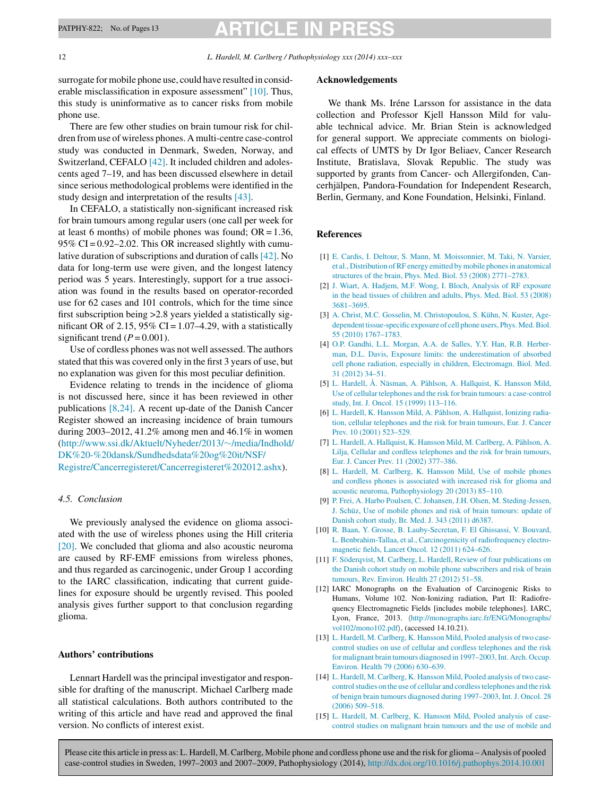<span id="page-11-0"></span>12 *L. Hardell, M. Carlberg / Pathophysiology xxx (2014) xxx–xxx*

surrogate for mobile phone use, could have resulted in considerable misclassification in exposure assessment" [10]. Thus, this study is uninformative as to cancer risks from mobile phone use.

There are few other studies on brain tumour risk for children from use of wireless phones. A multi-centre case-control study was conducted in Denmark, Sweden, Norway, and Switzerland, CEFALO [\[42\].](#page-12-0) It included children and adolescents aged 7–19, and has been discussed elsewhere in detail since serious methodological problems were identified in the study design and interpretation of the results [\[43\].](#page-12-0)

In CEFALO, a statistically non-significant increased risk for brain tumours among regular users (one call per week for at least 6 months) of mobile phones was found;  $OR = 1.36$ , 95% CI =  $0.92 - 2.02$ . This OR increased slightly with cumulative duration of subscriptions and duration of calls [\[42\].](#page-12-0) No data for long-term use were given, and the longest latency period was 5 years. Interestingly, support for a true association was found in the results based on operator-recorded use for 62 cases and 101 controls, which for the time since first subscription being >2.8 years yielded a statistically significant OR of 2.15, 95% CI =  $1.07-4.29$ , with a statistically significant trend  $(P = 0.001)$ .

Use of cordless phones was not well assessed. The authors stated that this was covered only in the first 3 years of use, but no explanation was given for this most peculiar definition.

Evidence relating to trends in the incidence of glioma is not discussed here, since it has been reviewed in other publications [8,24]. A recent up-date of the Danish Cancer Register showed an increasing incidence of brain tumours during 2003–2012, 41.2% among men and 46.1% in women [\(http://www.ssi.dk/Aktuelt/Nyheder/2013/](http://www.ssi.dk/Aktuelt/Nyheder/2013/~/media/Indhold/DK - dansk/Sundhedsdata og it/NSF/Registre/Cancerregisteret/Cancerregisteret 2012.ashx)∼/media/Indhold/ [DK%20-%20dansk/Sundhedsdata%20og%20it/NSF/](http://www.ssi.dk/Aktuelt/Nyheder/2013/~/media/Indhold/DK - dansk/Sundhedsdata og it/NSF/Registre/Cancerregisteret/Cancerregisteret 2012.ashx) [Registre/Cancerregisteret/Cancerregisteret%202012.ashx\)](http://www.ssi.dk/Aktuelt/Nyheder/2013/~/media/Indhold/DK - dansk/Sundhedsdata og it/NSF/Registre/Cancerregisteret/Cancerregisteret 2012.ashx).

# *4.5. Conclusion*

We previously analysed the evidence on glioma associated with the use of wireless phones using the Hill criteria [\[20\].](#page-12-0) We concluded that glioma and also acoustic neuroma are caused by RF-EMF emissions from wireless phones, and thus regarded as carcinogenic, under Group 1 according to the IARC classification, indicating that current guidelines for exposure should be urgently revised. This pooled analysis gives further support to that conclusion regarding glioma.

# **Authors' contributions**

Lennart Hardell was the principal investigator and responsible for drafting of the manuscript. Michael Carlberg made all statistical calculations. Both authors contributed to the writing of this article and have read and approved the final version. No conflicts of interest exist.

## **Acknowledgements**

We thank Ms. Iréne Larsson for assistance in the data collection and Professor Kjell Hansson Mild for valuable technical advice. Mr. Brian Stein is acknowledged for general support. We appreciate comments on biological effects of UMTS by Dr Igor Beliaev, Cancer Research Institute, Bratislava, Slovak Republic. The study was supported by grants from Cancer- och Allergifonden, Cancerhjälpen, Pandora-Foundation for Independent Research, Berlin, Germany, and Kone Foundation, Helsinki, Finland.

# **References**

- [1] [E.](http://refhub.elsevier.com/S0928-4680(14)00064-9/sbref0005) [Cardis,](http://refhub.elsevier.com/S0928-4680(14)00064-9/sbref0005) [I.](http://refhub.elsevier.com/S0928-4680(14)00064-9/sbref0005) [Deltour,](http://refhub.elsevier.com/S0928-4680(14)00064-9/sbref0005) [S.](http://refhub.elsevier.com/S0928-4680(14)00064-9/sbref0005) [Mann,](http://refhub.elsevier.com/S0928-4680(14)00064-9/sbref0005) [M.](http://refhub.elsevier.com/S0928-4680(14)00064-9/sbref0005) [Moissonnier,](http://refhub.elsevier.com/S0928-4680(14)00064-9/sbref0005) [M.](http://refhub.elsevier.com/S0928-4680(14)00064-9/sbref0005) [Taki,](http://refhub.elsevier.com/S0928-4680(14)00064-9/sbref0005) [N.](http://refhub.elsevier.com/S0928-4680(14)00064-9/sbref0005) [Varsier,](http://refhub.elsevier.com/S0928-4680(14)00064-9/sbref0005) [et](http://refhub.elsevier.com/S0928-4680(14)00064-9/sbref0005) [al.,](http://refhub.elsevier.com/S0928-4680(14)00064-9/sbref0005) [Distribution](http://refhub.elsevier.com/S0928-4680(14)00064-9/sbref0005) [ofRF](http://refhub.elsevier.com/S0928-4680(14)00064-9/sbref0005) [energy](http://refhub.elsevier.com/S0928-4680(14)00064-9/sbref0005) [emitted](http://refhub.elsevier.com/S0928-4680(14)00064-9/sbref0005) [bymobile](http://refhub.elsevier.com/S0928-4680(14)00064-9/sbref0005) [phonesin](http://refhub.elsevier.com/S0928-4680(14)00064-9/sbref0005) [anatomical](http://refhub.elsevier.com/S0928-4680(14)00064-9/sbref0005) [structures](http://refhub.elsevier.com/S0928-4680(14)00064-9/sbref0005) [of](http://refhub.elsevier.com/S0928-4680(14)00064-9/sbref0005) [the](http://refhub.elsevier.com/S0928-4680(14)00064-9/sbref0005) [brain,](http://refhub.elsevier.com/S0928-4680(14)00064-9/sbref0005) [Phys.](http://refhub.elsevier.com/S0928-4680(14)00064-9/sbref0005) [Med.](http://refhub.elsevier.com/S0928-4680(14)00064-9/sbref0005) [Biol.](http://refhub.elsevier.com/S0928-4680(14)00064-9/sbref0005) [53](http://refhub.elsevier.com/S0928-4680(14)00064-9/sbref0005) [\(2008\)](http://refhub.elsevier.com/S0928-4680(14)00064-9/sbref0005) [2771–2783.](http://refhub.elsevier.com/S0928-4680(14)00064-9/sbref0005)
- [2] [J.](http://refhub.elsevier.com/S0928-4680(14)00064-9/sbref0010) [Wiart,](http://refhub.elsevier.com/S0928-4680(14)00064-9/sbref0010) [A.](http://refhub.elsevier.com/S0928-4680(14)00064-9/sbref0010) [Hadjem,](http://refhub.elsevier.com/S0928-4680(14)00064-9/sbref0010) [M.F.](http://refhub.elsevier.com/S0928-4680(14)00064-9/sbref0010) [Wong,](http://refhub.elsevier.com/S0928-4680(14)00064-9/sbref0010) [I.](http://refhub.elsevier.com/S0928-4680(14)00064-9/sbref0010) [Bloch,](http://refhub.elsevier.com/S0928-4680(14)00064-9/sbref0010) [Analysis](http://refhub.elsevier.com/S0928-4680(14)00064-9/sbref0010) [of](http://refhub.elsevier.com/S0928-4680(14)00064-9/sbref0010) [RF](http://refhub.elsevier.com/S0928-4680(14)00064-9/sbref0010) [exposure](http://refhub.elsevier.com/S0928-4680(14)00064-9/sbref0010) [in](http://refhub.elsevier.com/S0928-4680(14)00064-9/sbref0010) [the](http://refhub.elsevier.com/S0928-4680(14)00064-9/sbref0010) [head](http://refhub.elsevier.com/S0928-4680(14)00064-9/sbref0010) [tissues](http://refhub.elsevier.com/S0928-4680(14)00064-9/sbref0010) [of](http://refhub.elsevier.com/S0928-4680(14)00064-9/sbref0010) [children](http://refhub.elsevier.com/S0928-4680(14)00064-9/sbref0010) [and](http://refhub.elsevier.com/S0928-4680(14)00064-9/sbref0010) [adults,](http://refhub.elsevier.com/S0928-4680(14)00064-9/sbref0010) [Phys.](http://refhub.elsevier.com/S0928-4680(14)00064-9/sbref0010) [Med.](http://refhub.elsevier.com/S0928-4680(14)00064-9/sbref0010) [Biol.](http://refhub.elsevier.com/S0928-4680(14)00064-9/sbref0010) [53](http://refhub.elsevier.com/S0928-4680(14)00064-9/sbref0010) [\(2008\)](http://refhub.elsevier.com/S0928-4680(14)00064-9/sbref0010) [3681–3695.](http://refhub.elsevier.com/S0928-4680(14)00064-9/sbref0010)
- [3] [A.](http://refhub.elsevier.com/S0928-4680(14)00064-9/sbref0015) [Christ,](http://refhub.elsevier.com/S0928-4680(14)00064-9/sbref0015) [M.C.](http://refhub.elsevier.com/S0928-4680(14)00064-9/sbref0015) [Gosselin,](http://refhub.elsevier.com/S0928-4680(14)00064-9/sbref0015) [M.](http://refhub.elsevier.com/S0928-4680(14)00064-9/sbref0015) [Christopoulou,](http://refhub.elsevier.com/S0928-4680(14)00064-9/sbref0015) [S.](http://refhub.elsevier.com/S0928-4680(14)00064-9/sbref0015) [Kühn,](http://refhub.elsevier.com/S0928-4680(14)00064-9/sbref0015) [N.](http://refhub.elsevier.com/S0928-4680(14)00064-9/sbref0015) [Kuster,](http://refhub.elsevier.com/S0928-4680(14)00064-9/sbref0015) [Age](http://refhub.elsevier.com/S0928-4680(14)00064-9/sbref0015)[dependent](http://refhub.elsevier.com/S0928-4680(14)00064-9/sbref0015) [tissue-specific](http://refhub.elsevier.com/S0928-4680(14)00064-9/sbref0015) [exposure](http://refhub.elsevier.com/S0928-4680(14)00064-9/sbref0015) [of](http://refhub.elsevier.com/S0928-4680(14)00064-9/sbref0015) [cell](http://refhub.elsevier.com/S0928-4680(14)00064-9/sbref0015) [phone](http://refhub.elsevier.com/S0928-4680(14)00064-9/sbref0015) [users,](http://refhub.elsevier.com/S0928-4680(14)00064-9/sbref0015) Phys. Med. Biol. [55](http://refhub.elsevier.com/S0928-4680(14)00064-9/sbref0015) [\(2010\)](http://refhub.elsevier.com/S0928-4680(14)00064-9/sbref0015) [1767](http://refhub.elsevier.com/S0928-4680(14)00064-9/sbref0015)–[1783.](http://refhub.elsevier.com/S0928-4680(14)00064-9/sbref0015)
- [4] [O.P.](http://refhub.elsevier.com/S0928-4680(14)00064-9/sbref0020) [Gandhi,](http://refhub.elsevier.com/S0928-4680(14)00064-9/sbref0020) [L.L.](http://refhub.elsevier.com/S0928-4680(14)00064-9/sbref0020) [Morgan,](http://refhub.elsevier.com/S0928-4680(14)00064-9/sbref0020) [A.A.](http://refhub.elsevier.com/S0928-4680(14)00064-9/sbref0020) [de](http://refhub.elsevier.com/S0928-4680(14)00064-9/sbref0020) [Salles,](http://refhub.elsevier.com/S0928-4680(14)00064-9/sbref0020) [Y.Y.](http://refhub.elsevier.com/S0928-4680(14)00064-9/sbref0020) [Han,](http://refhub.elsevier.com/S0928-4680(14)00064-9/sbref0020) [R.B.](http://refhub.elsevier.com/S0928-4680(14)00064-9/sbref0020) [Herber](http://refhub.elsevier.com/S0928-4680(14)00064-9/sbref0020)[man,](http://refhub.elsevier.com/S0928-4680(14)00064-9/sbref0020) [D.L.](http://refhub.elsevier.com/S0928-4680(14)00064-9/sbref0020) [Davis,](http://refhub.elsevier.com/S0928-4680(14)00064-9/sbref0020) [Exposure](http://refhub.elsevier.com/S0928-4680(14)00064-9/sbref0020) [limits:](http://refhub.elsevier.com/S0928-4680(14)00064-9/sbref0020) [the](http://refhub.elsevier.com/S0928-4680(14)00064-9/sbref0020) [underestimation](http://refhub.elsevier.com/S0928-4680(14)00064-9/sbref0020) [of](http://refhub.elsevier.com/S0928-4680(14)00064-9/sbref0020) [absorbed](http://refhub.elsevier.com/S0928-4680(14)00064-9/sbref0020) [cell](http://refhub.elsevier.com/S0928-4680(14)00064-9/sbref0020) [phone](http://refhub.elsevier.com/S0928-4680(14)00064-9/sbref0020) [radiation,](http://refhub.elsevier.com/S0928-4680(14)00064-9/sbref0020) [especially](http://refhub.elsevier.com/S0928-4680(14)00064-9/sbref0020) [in](http://refhub.elsevier.com/S0928-4680(14)00064-9/sbref0020) [children,](http://refhub.elsevier.com/S0928-4680(14)00064-9/sbref0020) [Electromagn.](http://refhub.elsevier.com/S0928-4680(14)00064-9/sbref0020) [Biol.](http://refhub.elsevier.com/S0928-4680(14)00064-9/sbref0020) [Med.](http://refhub.elsevier.com/S0928-4680(14)00064-9/sbref0020) [31](http://refhub.elsevier.com/S0928-4680(14)00064-9/sbref0020) [\(2012\)](http://refhub.elsevier.com/S0928-4680(14)00064-9/sbref0020) [34–51.](http://refhub.elsevier.com/S0928-4680(14)00064-9/sbref0020)
- [5] [L.](http://refhub.elsevier.com/S0928-4680(14)00064-9/sbref0025) [Hardell,](http://refhub.elsevier.com/S0928-4680(14)00064-9/sbref0025) [Å.](http://refhub.elsevier.com/S0928-4680(14)00064-9/sbref0025) [Näsman,](http://refhub.elsevier.com/S0928-4680(14)00064-9/sbref0025) [A.](http://refhub.elsevier.com/S0928-4680(14)00064-9/sbref0025) [Påhlson,](http://refhub.elsevier.com/S0928-4680(14)00064-9/sbref0025) [A.](http://refhub.elsevier.com/S0928-4680(14)00064-9/sbref0025) [Hallquist,](http://refhub.elsevier.com/S0928-4680(14)00064-9/sbref0025) [K.](http://refhub.elsevier.com/S0928-4680(14)00064-9/sbref0025) [Hansson](http://refhub.elsevier.com/S0928-4680(14)00064-9/sbref0025) [Mild,](http://refhub.elsevier.com/S0928-4680(14)00064-9/sbref0025) [Use](http://refhub.elsevier.com/S0928-4680(14)00064-9/sbref0025) [of](http://refhub.elsevier.com/S0928-4680(14)00064-9/sbref0025) [cellular](http://refhub.elsevier.com/S0928-4680(14)00064-9/sbref0025) [telephones](http://refhub.elsevier.com/S0928-4680(14)00064-9/sbref0025) [and](http://refhub.elsevier.com/S0928-4680(14)00064-9/sbref0025) [the](http://refhub.elsevier.com/S0928-4680(14)00064-9/sbref0025) [risk](http://refhub.elsevier.com/S0928-4680(14)00064-9/sbref0025) [for](http://refhub.elsevier.com/S0928-4680(14)00064-9/sbref0025) [brain](http://refhub.elsevier.com/S0928-4680(14)00064-9/sbref0025) [tumours:](http://refhub.elsevier.com/S0928-4680(14)00064-9/sbref0025) [a](http://refhub.elsevier.com/S0928-4680(14)00064-9/sbref0025) [case-control](http://refhub.elsevier.com/S0928-4680(14)00064-9/sbref0025) [study,](http://refhub.elsevier.com/S0928-4680(14)00064-9/sbref0025) [Int.](http://refhub.elsevier.com/S0928-4680(14)00064-9/sbref0025) [J.](http://refhub.elsevier.com/S0928-4680(14)00064-9/sbref0025) [Oncol.](http://refhub.elsevier.com/S0928-4680(14)00064-9/sbref0025) [15](http://refhub.elsevier.com/S0928-4680(14)00064-9/sbref0025) [\(1999\)](http://refhub.elsevier.com/S0928-4680(14)00064-9/sbref0025) [113](http://refhub.elsevier.com/S0928-4680(14)00064-9/sbref0025)–[116.](http://refhub.elsevier.com/S0928-4680(14)00064-9/sbref0025)
- [6] [L.](http://refhub.elsevier.com/S0928-4680(14)00064-9/sbref0030) [Hardell,](http://refhub.elsevier.com/S0928-4680(14)00064-9/sbref0030) [K.](http://refhub.elsevier.com/S0928-4680(14)00064-9/sbref0030) [Hansson](http://refhub.elsevier.com/S0928-4680(14)00064-9/sbref0030) [Mild,](http://refhub.elsevier.com/S0928-4680(14)00064-9/sbref0030) [A.](http://refhub.elsevier.com/S0928-4680(14)00064-9/sbref0030) [Påhlson,](http://refhub.elsevier.com/S0928-4680(14)00064-9/sbref0030) [A.](http://refhub.elsevier.com/S0928-4680(14)00064-9/sbref0030) [Hallquist,](http://refhub.elsevier.com/S0928-4680(14)00064-9/sbref0030) [Ionizing](http://refhub.elsevier.com/S0928-4680(14)00064-9/sbref0030) [radia](http://refhub.elsevier.com/S0928-4680(14)00064-9/sbref0030)[tion,](http://refhub.elsevier.com/S0928-4680(14)00064-9/sbref0030) [cellular](http://refhub.elsevier.com/S0928-4680(14)00064-9/sbref0030) [telephones](http://refhub.elsevier.com/S0928-4680(14)00064-9/sbref0030) [and](http://refhub.elsevier.com/S0928-4680(14)00064-9/sbref0030) [the](http://refhub.elsevier.com/S0928-4680(14)00064-9/sbref0030) [risk](http://refhub.elsevier.com/S0928-4680(14)00064-9/sbref0030) [for](http://refhub.elsevier.com/S0928-4680(14)00064-9/sbref0030) [brain](http://refhub.elsevier.com/S0928-4680(14)00064-9/sbref0030) [tumours,](http://refhub.elsevier.com/S0928-4680(14)00064-9/sbref0030) [Eur](http://refhub.elsevier.com/S0928-4680(14)00064-9/sbref0030). [J.](http://refhub.elsevier.com/S0928-4680(14)00064-9/sbref0030) [Cancer](http://refhub.elsevier.com/S0928-4680(14)00064-9/sbref0030) [Prev.](http://refhub.elsevier.com/S0928-4680(14)00064-9/sbref0030) [10](http://refhub.elsevier.com/S0928-4680(14)00064-9/sbref0030) [\(2001\)](http://refhub.elsevier.com/S0928-4680(14)00064-9/sbref0030) [523](http://refhub.elsevier.com/S0928-4680(14)00064-9/sbref0030)–[529.](http://refhub.elsevier.com/S0928-4680(14)00064-9/sbref0030)
- [7] [L.](http://refhub.elsevier.com/S0928-4680(14)00064-9/sbref0035) [Hardell,](http://refhub.elsevier.com/S0928-4680(14)00064-9/sbref0035) [A.](http://refhub.elsevier.com/S0928-4680(14)00064-9/sbref0035) [Hallquist,](http://refhub.elsevier.com/S0928-4680(14)00064-9/sbref0035) [K.](http://refhub.elsevier.com/S0928-4680(14)00064-9/sbref0035) [Hansson](http://refhub.elsevier.com/S0928-4680(14)00064-9/sbref0035) [Mild,](http://refhub.elsevier.com/S0928-4680(14)00064-9/sbref0035) [M.](http://refhub.elsevier.com/S0928-4680(14)00064-9/sbref0035) [Carlberg,](http://refhub.elsevier.com/S0928-4680(14)00064-9/sbref0035) [A.](http://refhub.elsevier.com/S0928-4680(14)00064-9/sbref0035) [Påhlson,](http://refhub.elsevier.com/S0928-4680(14)00064-9/sbref0035) [A.](http://refhub.elsevier.com/S0928-4680(14)00064-9/sbref0035) [Lilja,](http://refhub.elsevier.com/S0928-4680(14)00064-9/sbref0035) [Cellular](http://refhub.elsevier.com/S0928-4680(14)00064-9/sbref0035) [and](http://refhub.elsevier.com/S0928-4680(14)00064-9/sbref0035) [cordless](http://refhub.elsevier.com/S0928-4680(14)00064-9/sbref0035) [telephones](http://refhub.elsevier.com/S0928-4680(14)00064-9/sbref0035) [and](http://refhub.elsevier.com/S0928-4680(14)00064-9/sbref0035) [the](http://refhub.elsevier.com/S0928-4680(14)00064-9/sbref0035) [risk](http://refhub.elsevier.com/S0928-4680(14)00064-9/sbref0035) [for](http://refhub.elsevier.com/S0928-4680(14)00064-9/sbref0035) [brain](http://refhub.elsevier.com/S0928-4680(14)00064-9/sbref0035) [tumours,](http://refhub.elsevier.com/S0928-4680(14)00064-9/sbref0035) [Eur.](http://refhub.elsevier.com/S0928-4680(14)00064-9/sbref0035) [J.](http://refhub.elsevier.com/S0928-4680(14)00064-9/sbref0035) [Cancer](http://refhub.elsevier.com/S0928-4680(14)00064-9/sbref0035) [Prev.](http://refhub.elsevier.com/S0928-4680(14)00064-9/sbref0035) [11](http://refhub.elsevier.com/S0928-4680(14)00064-9/sbref0035) [\(2002\)](http://refhub.elsevier.com/S0928-4680(14)00064-9/sbref0035) [377](http://refhub.elsevier.com/S0928-4680(14)00064-9/sbref0035)–[386.](http://refhub.elsevier.com/S0928-4680(14)00064-9/sbref0035)
- [8] [L.](http://refhub.elsevier.com/S0928-4680(14)00064-9/sbref0040) [Hardell,](http://refhub.elsevier.com/S0928-4680(14)00064-9/sbref0040) [M.](http://refhub.elsevier.com/S0928-4680(14)00064-9/sbref0040) [Carlberg,](http://refhub.elsevier.com/S0928-4680(14)00064-9/sbref0040) [K.](http://refhub.elsevier.com/S0928-4680(14)00064-9/sbref0040) [Hansson](http://refhub.elsevier.com/S0928-4680(14)00064-9/sbref0040) [Mild,](http://refhub.elsevier.com/S0928-4680(14)00064-9/sbref0040) [Use](http://refhub.elsevier.com/S0928-4680(14)00064-9/sbref0040) [of](http://refhub.elsevier.com/S0928-4680(14)00064-9/sbref0040) [mobile](http://refhub.elsevier.com/S0928-4680(14)00064-9/sbref0040) [phones](http://refhub.elsevier.com/S0928-4680(14)00064-9/sbref0040) [and](http://refhub.elsevier.com/S0928-4680(14)00064-9/sbref0040) [cordless](http://refhub.elsevier.com/S0928-4680(14)00064-9/sbref0040) [phones](http://refhub.elsevier.com/S0928-4680(14)00064-9/sbref0040) [is](http://refhub.elsevier.com/S0928-4680(14)00064-9/sbref0040) [associated](http://refhub.elsevier.com/S0928-4680(14)00064-9/sbref0040) [with](http://refhub.elsevier.com/S0928-4680(14)00064-9/sbref0040) [increased](http://refhub.elsevier.com/S0928-4680(14)00064-9/sbref0040) [risk](http://refhub.elsevier.com/S0928-4680(14)00064-9/sbref0040) [for](http://refhub.elsevier.com/S0928-4680(14)00064-9/sbref0040) [glioma](http://refhub.elsevier.com/S0928-4680(14)00064-9/sbref0040) [and](http://refhub.elsevier.com/S0928-4680(14)00064-9/sbref0040) [acoustic](http://refhub.elsevier.com/S0928-4680(14)00064-9/sbref0040) [neuroma,](http://refhub.elsevier.com/S0928-4680(14)00064-9/sbref0040) [Pathophysiology](http://refhub.elsevier.com/S0928-4680(14)00064-9/sbref0040) [20](http://refhub.elsevier.com/S0928-4680(14)00064-9/sbref0040) [\(2013\)](http://refhub.elsevier.com/S0928-4680(14)00064-9/sbref0040) [85–110.](http://refhub.elsevier.com/S0928-4680(14)00064-9/sbref0040)
- [9] [P.](http://refhub.elsevier.com/S0928-4680(14)00064-9/sbref0045) [Frei,](http://refhub.elsevier.com/S0928-4680(14)00064-9/sbref0045) [A.](http://refhub.elsevier.com/S0928-4680(14)00064-9/sbref0045) [Harbo](http://refhub.elsevier.com/S0928-4680(14)00064-9/sbref0045) [Poulsen,](http://refhub.elsevier.com/S0928-4680(14)00064-9/sbref0045) [C.](http://refhub.elsevier.com/S0928-4680(14)00064-9/sbref0045) [Johansen,](http://refhub.elsevier.com/S0928-4680(14)00064-9/sbref0045) [J.H.](http://refhub.elsevier.com/S0928-4680(14)00064-9/sbref0045) [Olsen,](http://refhub.elsevier.com/S0928-4680(14)00064-9/sbref0045) [M.](http://refhub.elsevier.com/S0928-4680(14)00064-9/sbref0045) [Steding-Jessen,](http://refhub.elsevier.com/S0928-4680(14)00064-9/sbref0045) [J.](http://refhub.elsevier.com/S0928-4680(14)00064-9/sbref0045) [Schüz,](http://refhub.elsevier.com/S0928-4680(14)00064-9/sbref0045) [Use](http://refhub.elsevier.com/S0928-4680(14)00064-9/sbref0045) [of](http://refhub.elsevier.com/S0928-4680(14)00064-9/sbref0045) [mobile](http://refhub.elsevier.com/S0928-4680(14)00064-9/sbref0045) [phones](http://refhub.elsevier.com/S0928-4680(14)00064-9/sbref0045) [and](http://refhub.elsevier.com/S0928-4680(14)00064-9/sbref0045) [risk](http://refhub.elsevier.com/S0928-4680(14)00064-9/sbref0045) [of](http://refhub.elsevier.com/S0928-4680(14)00064-9/sbref0045) [brain](http://refhub.elsevier.com/S0928-4680(14)00064-9/sbref0045) [tumours:](http://refhub.elsevier.com/S0928-4680(14)00064-9/sbref0045) [update](http://refhub.elsevier.com/S0928-4680(14)00064-9/sbref0045) [of](http://refhub.elsevier.com/S0928-4680(14)00064-9/sbref0045) [Danish](http://refhub.elsevier.com/S0928-4680(14)00064-9/sbref0045) [cohort](http://refhub.elsevier.com/S0928-4680(14)00064-9/sbref0045) [study,](http://refhub.elsevier.com/S0928-4680(14)00064-9/sbref0045) [Br.](http://refhub.elsevier.com/S0928-4680(14)00064-9/sbref0045) [Med.](http://refhub.elsevier.com/S0928-4680(14)00064-9/sbref0045) [J.](http://refhub.elsevier.com/S0928-4680(14)00064-9/sbref0045) [343](http://refhub.elsevier.com/S0928-4680(14)00064-9/sbref0045) [\(2011\)](http://refhub.elsevier.com/S0928-4680(14)00064-9/sbref0045) [d6387.](http://refhub.elsevier.com/S0928-4680(14)00064-9/sbref0045)
- [10] [R.](http://refhub.elsevier.com/S0928-4680(14)00064-9/sbref0050) [Baan,](http://refhub.elsevier.com/S0928-4680(14)00064-9/sbref0050) [Y.](http://refhub.elsevier.com/S0928-4680(14)00064-9/sbref0050) [Grosse,](http://refhub.elsevier.com/S0928-4680(14)00064-9/sbref0050) [B.](http://refhub.elsevier.com/S0928-4680(14)00064-9/sbref0050) [Lauby-Secretan,](http://refhub.elsevier.com/S0928-4680(14)00064-9/sbref0050) [F.](http://refhub.elsevier.com/S0928-4680(14)00064-9/sbref0050) [El](http://refhub.elsevier.com/S0928-4680(14)00064-9/sbref0050) [Ghissassi,](http://refhub.elsevier.com/S0928-4680(14)00064-9/sbref0050) [V.](http://refhub.elsevier.com/S0928-4680(14)00064-9/sbref0050) [Bouvard,](http://refhub.elsevier.com/S0928-4680(14)00064-9/sbref0050) [L.](http://refhub.elsevier.com/S0928-4680(14)00064-9/sbref0050) [Benbrahim-Tallaa,](http://refhub.elsevier.com/S0928-4680(14)00064-9/sbref0050) [et](http://refhub.elsevier.com/S0928-4680(14)00064-9/sbref0050) [al.,](http://refhub.elsevier.com/S0928-4680(14)00064-9/sbref0050) [Carcinogenicity](http://refhub.elsevier.com/S0928-4680(14)00064-9/sbref0050) [of](http://refhub.elsevier.com/S0928-4680(14)00064-9/sbref0050) [radiofrequency](http://refhub.elsevier.com/S0928-4680(14)00064-9/sbref0050) [electro](http://refhub.elsevier.com/S0928-4680(14)00064-9/sbref0050)[magnetic](http://refhub.elsevier.com/S0928-4680(14)00064-9/sbref0050) [fields,](http://refhub.elsevier.com/S0928-4680(14)00064-9/sbref0050) [Lancet](http://refhub.elsevier.com/S0928-4680(14)00064-9/sbref0050) [Oncol.](http://refhub.elsevier.com/S0928-4680(14)00064-9/sbref0050) [12](http://refhub.elsevier.com/S0928-4680(14)00064-9/sbref0050) [\(2011\)](http://refhub.elsevier.com/S0928-4680(14)00064-9/sbref0050) [624–626.](http://refhub.elsevier.com/S0928-4680(14)00064-9/sbref0050)
- [11] [F.](http://refhub.elsevier.com/S0928-4680(14)00064-9/sbref0055) [Söderqvist,](http://refhub.elsevier.com/S0928-4680(14)00064-9/sbref0055) [M.](http://refhub.elsevier.com/S0928-4680(14)00064-9/sbref0055) [Carlberg,](http://refhub.elsevier.com/S0928-4680(14)00064-9/sbref0055) [L.](http://refhub.elsevier.com/S0928-4680(14)00064-9/sbref0055) [Hardell,](http://refhub.elsevier.com/S0928-4680(14)00064-9/sbref0055) [Review](http://refhub.elsevier.com/S0928-4680(14)00064-9/sbref0055) [of](http://refhub.elsevier.com/S0928-4680(14)00064-9/sbref0055) [four](http://refhub.elsevier.com/S0928-4680(14)00064-9/sbref0055) [publications](http://refhub.elsevier.com/S0928-4680(14)00064-9/sbref0055) [on](http://refhub.elsevier.com/S0928-4680(14)00064-9/sbref0055) [the](http://refhub.elsevier.com/S0928-4680(14)00064-9/sbref0055) [Danish](http://refhub.elsevier.com/S0928-4680(14)00064-9/sbref0055) [cohort](http://refhub.elsevier.com/S0928-4680(14)00064-9/sbref0055) [study](http://refhub.elsevier.com/S0928-4680(14)00064-9/sbref0055) [on](http://refhub.elsevier.com/S0928-4680(14)00064-9/sbref0055) [mobile](http://refhub.elsevier.com/S0928-4680(14)00064-9/sbref0055) [phone](http://refhub.elsevier.com/S0928-4680(14)00064-9/sbref0055) [subscribers](http://refhub.elsevier.com/S0928-4680(14)00064-9/sbref0055) [and](http://refhub.elsevier.com/S0928-4680(14)00064-9/sbref0055) [risk](http://refhub.elsevier.com/S0928-4680(14)00064-9/sbref0055) [of](http://refhub.elsevier.com/S0928-4680(14)00064-9/sbref0055) [brain](http://refhub.elsevier.com/S0928-4680(14)00064-9/sbref0055) [tumours,](http://refhub.elsevier.com/S0928-4680(14)00064-9/sbref0055) [Rev.](http://refhub.elsevier.com/S0928-4680(14)00064-9/sbref0055) [Environ.](http://refhub.elsevier.com/S0928-4680(14)00064-9/sbref0055) [Health](http://refhub.elsevier.com/S0928-4680(14)00064-9/sbref0055) [27](http://refhub.elsevier.com/S0928-4680(14)00064-9/sbref0055) [\(2012\)](http://refhub.elsevier.com/S0928-4680(14)00064-9/sbref0055) [51–58.](http://refhub.elsevier.com/S0928-4680(14)00064-9/sbref0055)
- [12] IARC Monographs on the Evaluation of Carcinogenic Risks to Humans, Volume 102. Non-Ionizing radiation, Part II: Radiofrequency Electromagnetic Fields [includes mobile telephones]. IARC, Lyon, France, 2013. ([http://monographs.iarc.fr/ENG/Monographs/](http://monographs.iarc.fr/ENG/Monographs/vol102/mono102.pdf) [vol102/mono102.pdf](http://monographs.iarc.fr/ENG/Monographs/vol102/mono102.pdf)), (accessed 14.10.21).
- [13] [L.](http://refhub.elsevier.com/S0928-4680(14)00064-9/sbref0065) [Hardell,](http://refhub.elsevier.com/S0928-4680(14)00064-9/sbref0065) [M.](http://refhub.elsevier.com/S0928-4680(14)00064-9/sbref0065) [Carlberg,](http://refhub.elsevier.com/S0928-4680(14)00064-9/sbref0065) [K.](http://refhub.elsevier.com/S0928-4680(14)00064-9/sbref0065) [Hansson](http://refhub.elsevier.com/S0928-4680(14)00064-9/sbref0065) [Mild,](http://refhub.elsevier.com/S0928-4680(14)00064-9/sbref0065) [Pooled](http://refhub.elsevier.com/S0928-4680(14)00064-9/sbref0065) [analysis](http://refhub.elsevier.com/S0928-4680(14)00064-9/sbref0065) [of](http://refhub.elsevier.com/S0928-4680(14)00064-9/sbref0065) [two](http://refhub.elsevier.com/S0928-4680(14)00064-9/sbref0065) [case](http://refhub.elsevier.com/S0928-4680(14)00064-9/sbref0065)[control](http://refhub.elsevier.com/S0928-4680(14)00064-9/sbref0065) [studies](http://refhub.elsevier.com/S0928-4680(14)00064-9/sbref0065) [on](http://refhub.elsevier.com/S0928-4680(14)00064-9/sbref0065) [use](http://refhub.elsevier.com/S0928-4680(14)00064-9/sbref0065) [of](http://refhub.elsevier.com/S0928-4680(14)00064-9/sbref0065) [cellular](http://refhub.elsevier.com/S0928-4680(14)00064-9/sbref0065) [and](http://refhub.elsevier.com/S0928-4680(14)00064-9/sbref0065) [cordless](http://refhub.elsevier.com/S0928-4680(14)00064-9/sbref0065) [telephones](http://refhub.elsevier.com/S0928-4680(14)00064-9/sbref0065) [and](http://refhub.elsevier.com/S0928-4680(14)00064-9/sbref0065) [the](http://refhub.elsevier.com/S0928-4680(14)00064-9/sbref0065) [risk](http://refhub.elsevier.com/S0928-4680(14)00064-9/sbref0065) [for](http://refhub.elsevier.com/S0928-4680(14)00064-9/sbref0065) [malignant](http://refhub.elsevier.com/S0928-4680(14)00064-9/sbref0065) [brain](http://refhub.elsevier.com/S0928-4680(14)00064-9/sbref0065) [tumours](http://refhub.elsevier.com/S0928-4680(14)00064-9/sbref0065) [diagnosed](http://refhub.elsevier.com/S0928-4680(14)00064-9/sbref0065) [in](http://refhub.elsevier.com/S0928-4680(14)00064-9/sbref0065) [1997](http://refhub.elsevier.com/S0928-4680(14)00064-9/sbref0065)–2003, Int. [Arch.](http://refhub.elsevier.com/S0928-4680(14)00064-9/sbref0065) [Occup.](http://refhub.elsevier.com/S0928-4680(14)00064-9/sbref0065) [Environ.](http://refhub.elsevier.com/S0928-4680(14)00064-9/sbref0065) [Health](http://refhub.elsevier.com/S0928-4680(14)00064-9/sbref0065) [79](http://refhub.elsevier.com/S0928-4680(14)00064-9/sbref0065) [\(2006\)](http://refhub.elsevier.com/S0928-4680(14)00064-9/sbref0065) [630](http://refhub.elsevier.com/S0928-4680(14)00064-9/sbref0065)–[639.](http://refhub.elsevier.com/S0928-4680(14)00064-9/sbref0065)
- [14] [L.](http://refhub.elsevier.com/S0928-4680(14)00064-9/sbref0070) [Hardell,](http://refhub.elsevier.com/S0928-4680(14)00064-9/sbref0070) [M.](http://refhub.elsevier.com/S0928-4680(14)00064-9/sbref0070) [Carlberg,](http://refhub.elsevier.com/S0928-4680(14)00064-9/sbref0070) [K.](http://refhub.elsevier.com/S0928-4680(14)00064-9/sbref0070) [Hansson](http://refhub.elsevier.com/S0928-4680(14)00064-9/sbref0070) [Mild,](http://refhub.elsevier.com/S0928-4680(14)00064-9/sbref0070) [Pooled](http://refhub.elsevier.com/S0928-4680(14)00064-9/sbref0070) [analysis](http://refhub.elsevier.com/S0928-4680(14)00064-9/sbref0070) [of](http://refhub.elsevier.com/S0928-4680(14)00064-9/sbref0070) [two](http://refhub.elsevier.com/S0928-4680(14)00064-9/sbref0070) [case](http://refhub.elsevier.com/S0928-4680(14)00064-9/sbref0070)[controlstudies](http://refhub.elsevier.com/S0928-4680(14)00064-9/sbref0070) [on](http://refhub.elsevier.com/S0928-4680(14)00064-9/sbref0070) [the](http://refhub.elsevier.com/S0928-4680(14)00064-9/sbref0070) [use](http://refhub.elsevier.com/S0928-4680(14)00064-9/sbref0070) [of](http://refhub.elsevier.com/S0928-4680(14)00064-9/sbref0070) [cellular](http://refhub.elsevier.com/S0928-4680(14)00064-9/sbref0070) [and](http://refhub.elsevier.com/S0928-4680(14)00064-9/sbref0070) [cordlesstelephones](http://refhub.elsevier.com/S0928-4680(14)00064-9/sbref0070) [and](http://refhub.elsevier.com/S0928-4680(14)00064-9/sbref0070) [the](http://refhub.elsevier.com/S0928-4680(14)00064-9/sbref0070) [risk](http://refhub.elsevier.com/S0928-4680(14)00064-9/sbref0070) [of](http://refhub.elsevier.com/S0928-4680(14)00064-9/sbref0070) [benign](http://refhub.elsevier.com/S0928-4680(14)00064-9/sbref0070) [brain](http://refhub.elsevier.com/S0928-4680(14)00064-9/sbref0070) [tumours](http://refhub.elsevier.com/S0928-4680(14)00064-9/sbref0070) [diagnosed](http://refhub.elsevier.com/S0928-4680(14)00064-9/sbref0070) [during](http://refhub.elsevier.com/S0928-4680(14)00064-9/sbref0070) [1997–2003,](http://refhub.elsevier.com/S0928-4680(14)00064-9/sbref0070) [Int.](http://refhub.elsevier.com/S0928-4680(14)00064-9/sbref0070) [J.](http://refhub.elsevier.com/S0928-4680(14)00064-9/sbref0070) [Oncol.](http://refhub.elsevier.com/S0928-4680(14)00064-9/sbref0070) [28](http://refhub.elsevier.com/S0928-4680(14)00064-9/sbref0070) [\(2006\)](http://refhub.elsevier.com/S0928-4680(14)00064-9/sbref0070) [509–518.](http://refhub.elsevier.com/S0928-4680(14)00064-9/sbref0070)
- [15] [L.](http://refhub.elsevier.com/S0928-4680(14)00064-9/sbref0075) [Hardell,](http://refhub.elsevier.com/S0928-4680(14)00064-9/sbref0075) [M.](http://refhub.elsevier.com/S0928-4680(14)00064-9/sbref0075) [Carlberg,](http://refhub.elsevier.com/S0928-4680(14)00064-9/sbref0075) [K.](http://refhub.elsevier.com/S0928-4680(14)00064-9/sbref0075) [Hansson](http://refhub.elsevier.com/S0928-4680(14)00064-9/sbref0075) [Mild,](http://refhub.elsevier.com/S0928-4680(14)00064-9/sbref0075) [Pooled](http://refhub.elsevier.com/S0928-4680(14)00064-9/sbref0075) [analysis](http://refhub.elsevier.com/S0928-4680(14)00064-9/sbref0075) [of](http://refhub.elsevier.com/S0928-4680(14)00064-9/sbref0075) [case](http://refhub.elsevier.com/S0928-4680(14)00064-9/sbref0075)[control](http://refhub.elsevier.com/S0928-4680(14)00064-9/sbref0075) [studies](http://refhub.elsevier.com/S0928-4680(14)00064-9/sbref0075) [on](http://refhub.elsevier.com/S0928-4680(14)00064-9/sbref0075) [malignant](http://refhub.elsevier.com/S0928-4680(14)00064-9/sbref0075) [brain](http://refhub.elsevier.com/S0928-4680(14)00064-9/sbref0075) [tumours](http://refhub.elsevier.com/S0928-4680(14)00064-9/sbref0075) [and](http://refhub.elsevier.com/S0928-4680(14)00064-9/sbref0075) [the](http://refhub.elsevier.com/S0928-4680(14)00064-9/sbref0075) [use](http://refhub.elsevier.com/S0928-4680(14)00064-9/sbref0075) [of](http://refhub.elsevier.com/S0928-4680(14)00064-9/sbref0075) [mobile](http://refhub.elsevier.com/S0928-4680(14)00064-9/sbref0075) [and](http://refhub.elsevier.com/S0928-4680(14)00064-9/sbref0075)